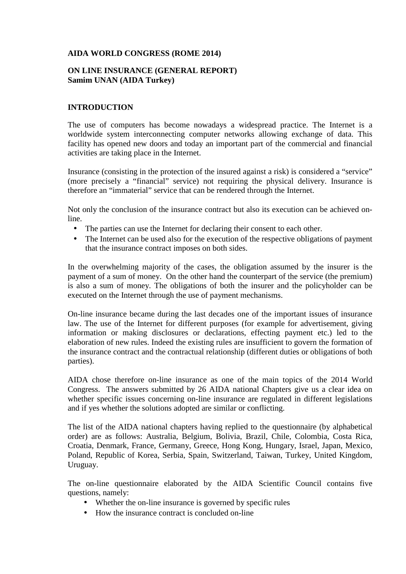### **AIDA WORLD CONGRESS (ROME 2014)**

#### **ON LINE INSURANCE (GENERAL REPORT) Samim UNAN (AIDA Turkey)**

### **INTRODUCTION**

The use of computers has become nowadays a widespread practice. The Internet is a worldwide system interconnecting computer networks allowing exchange of data. This facility has opened new doors and today an important part of the commercial and financial activities are taking place in the Internet.

Insurance (consisting in the protection of the insured against a risk) is considered a "service" (more precisely a "financial" service) not requiring the physical delivery. Insurance is therefore an "immaterial" service that can be rendered through the Internet.

Not only the conclusion of the insurance contract but also its execution can be achieved online.

- The parties can use the Internet for declaring their consent to each other.
- The Internet can be used also for the execution of the respective obligations of payment that the insurance contract imposes on both sides.

In the overwhelming majority of the cases, the obligation assumed by the insurer is the payment of a sum of money. On the other hand the counterpart of the service (the premium) is also a sum of money. The obligations of both the insurer and the policyholder can be executed on the Internet through the use of payment mechanisms.

On-line insurance became during the last decades one of the important issues of insurance law. The use of the Internet for different purposes (for example for advertisement, giving information or making disclosures or declarations, effecting payment etc.) led to the elaboration of new rules. Indeed the existing rules are insufficient to govern the formation of the insurance contract and the contractual relationship (different duties or obligations of both parties).

AIDA chose therefore on-line insurance as one of the main topics of the 2014 World Congress. The answers submitted by 26 AIDA national Chapters give us a clear idea on whether specific issues concerning on-line insurance are regulated in different legislations and if yes whether the solutions adopted are similar or conflicting.

The list of the AIDA national chapters having replied to the questionnaire (by alphabetical order) are as follows: Australia, Belgium, Bolivia, Brazil, Chile, Colombia, Costa Rica, Croatia, Denmark, France, Germany, Greece, Hong Kong, Hungary, Israel, Japan, Mexico, Poland, Republic of Korea, Serbia, Spain, Switzerland, Taiwan, Turkey, United Kingdom, Uruguay.

The on-line questionnaire elaborated by the AIDA Scientific Council contains five questions, namely:

- Whether the on-line insurance is governed by specific rules
- How the insurance contract is concluded on-line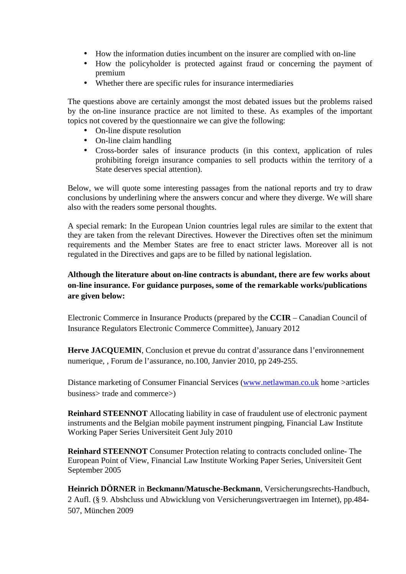- How the information duties incumbent on the insurer are complied with on-line
- How the policyholder is protected against fraud or concerning the payment of premium
- Whether there are specific rules for insurance intermediaries

The questions above are certainly amongst the most debated issues but the problems raised by the on-line insurance practice are not limited to these. As examples of the important topics not covered by the questionnaire we can give the following:

- On-line dispute resolution
- On-line claim handling
- Cross-border sales of insurance products (in this context, application of rules prohibiting foreign insurance companies to sell products within the territory of a State deserves special attention).

Below, we will quote some interesting passages from the national reports and try to draw conclusions by underlining where the answers concur and where they diverge. We will share also with the readers some personal thoughts.

A special remark: In the European Union countries legal rules are similar to the extent that they are taken from the relevant Directives. However the Directives often set the minimum requirements and the Member States are free to enact stricter laws. Moreover all is not regulated in the Directives and gaps are to be filled by national legislation.

# **Although the literature about on-line contracts is abundant, there are few works about on-line insurance. For guidance purposes, some of the remarkable works/publications are given below:**

Electronic Commerce in Insurance Products (prepared by the **CCIR** – Canadian Council of Insurance Regulators Electronic Commerce Committee), January 2012

Herve JACQUEMIN, Conclusion et prevue du contrat d'assurance dans l'environnement numerique, , Forum de l'assurance, no.100, Janvier 2010, pp 249-255.

Distance marketing of Consumer Financial Services (www.netlawman.co.uk home >articles business> trade and commerce>)

**Reinhard STEENNOT** Allocating liability in case of fraudulent use of electronic payment instruments and the Belgian mobile payment instrument pingping, Financial Law Institute Working Paper Series Universiteit Gent July 2010

**Reinhard STEENNOT** Consumer Protection relating to contracts concluded online- The European Point of View, Financial Law Institute Working Paper Series, Universiteit Gent September 2005

**Heinrich DÖRNER** in **Beckmann/Matusche-Beckmann**, Versicherungsrechts-Handbuch, 2 Aufl. (§ 9. Abshcluss und Abwicklung von Versicherungsvertraegen im Internet), pp.484- 507, München 2009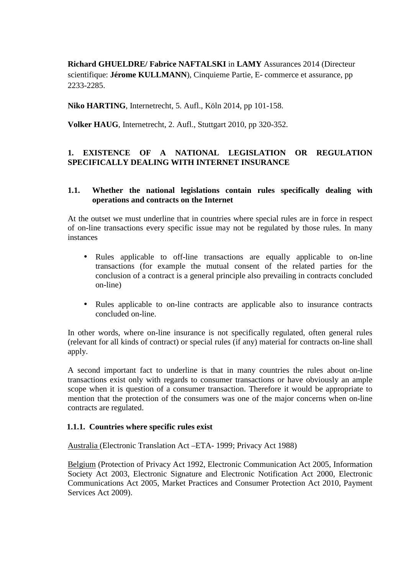**Richard GHUELDRE/ Fabrice NAFTALSKI** in **LAMY** Assurances 2014 (Directeur scientifique: **Jérome KULLMANN**), Cinquieme Partie, E- commerce et assurance, pp 2233-2285.

**Niko HARTING**, Internetrecht, 5. Aufl., Köln 2014, pp 101-158.

**Volker HAUG**, Internetrecht, 2. Aufl., Stuttgart 2010, pp 320-352.

# **1. EXISTENCE OF A NATIONAL LEGISLATION OR REGULATION SPECIFICALLY DEALING WITH INTERNET INSURANCE**

#### **1.1. Whether the national legislations contain rules specifically dealing with operations and contracts on the Internet**

At the outset we must underline that in countries where special rules are in force in respect of on-line transactions every specific issue may not be regulated by those rules. In many instances

- Rules applicable to off-line transactions are equally applicable to on-line transactions (for example the mutual consent of the related parties for the conclusion of a contract is a general principle also prevailing in contracts concluded on-line)
- Rules applicable to on-line contracts are applicable also to insurance contracts concluded on-line.

In other words, where on-line insurance is not specifically regulated, often general rules (relevant for all kinds of contract) or special rules (if any) material for contracts on-line shall apply.

A second important fact to underline is that in many countries the rules about on-line transactions exist only with regards to consumer transactions or have obviously an ample scope when it is question of a consumer transaction. Therefore it would be appropriate to mention that the protection of the consumers was one of the major concerns when on-line contracts are regulated.

#### **1.1.1. Countries where specific rules exist**

Australia (Electronic Translation Act –ETA- 1999; Privacy Act 1988)

Belgium (Protection of Privacy Act 1992, Electronic Communication Act 2005, Information Society Act 2003, Electronic Signature and Electronic Notification Act 2000, Electronic Communications Act 2005, Market Practices and Consumer Protection Act 2010, Payment Services Act 2009).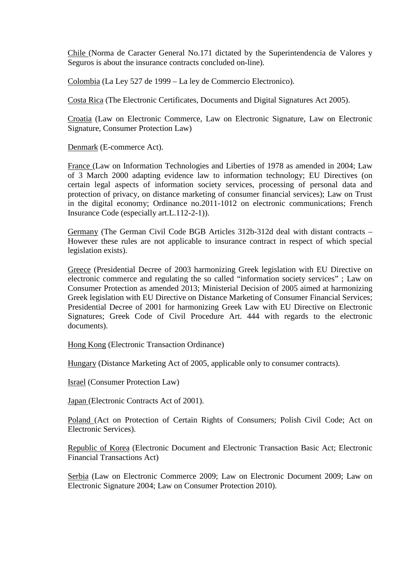Chile (Norma de Caracter General No.171 dictated by the Superintendencia de Valores y Seguros is about the insurance contracts concluded on-line).

Colombia (La Ley 527 de 1999 – La ley de Commercio Electronico).

Costa Rica (The Electronic Certificates, Documents and Digital Signatures Act 2005).

Croatia (Law on Electronic Commerce, Law on Electronic Signature, Law on Electronic Signature, Consumer Protection Law)

Denmark (E-commerce Act).

France (Law on Information Technologies and Liberties of 1978 as amended in 2004; Law of 3 March 2000 adapting evidence law to information technology; EU Directives (on certain legal aspects of information society services, processing of personal data and protection of privacy, on distance marketing of consumer financial services); Law on Trust in the digital economy; Ordinance no.2011-1012 on electronic communications; French Insurance Code (especially art.L.112-2-1)).

Germany (The German Civil Code BGB Articles 312b-312d deal with distant contracts – However these rules are not applicable to insurance contract in respect of which special legislation exists).

Greece (Presidential Decree of 2003 harmonizing Greek legislation with EU Directive on electronic commerce and regulating the so called "information society services" ; Law on Consumer Protection as amended 2013; Ministerial Decision of 2005 aimed at harmonizing Greek legislation with EU Directive on Distance Marketing of Consumer Financial Services; Presidential Decree of 2001 for harmonizing Greek Law with EU Directive on Electronic Signatures; Greek Code of Civil Procedure Art. 444 with regards to the electronic documents).

Hong Kong (Electronic Transaction Ordinance)

Hungary (Distance Marketing Act of 2005, applicable only to consumer contracts).

Israel (Consumer Protection Law)

Japan (Electronic Contracts Act of 2001).

Poland (Act on Protection of Certain Rights of Consumers; Polish Civil Code; Act on Electronic Services).

Republic of Korea (Electronic Document and Electronic Transaction Basic Act; Electronic Financial Transactions Act)

Serbia (Law on Electronic Commerce 2009; Law on Electronic Document 2009; Law on Electronic Signature 2004; Law on Consumer Protection 2010).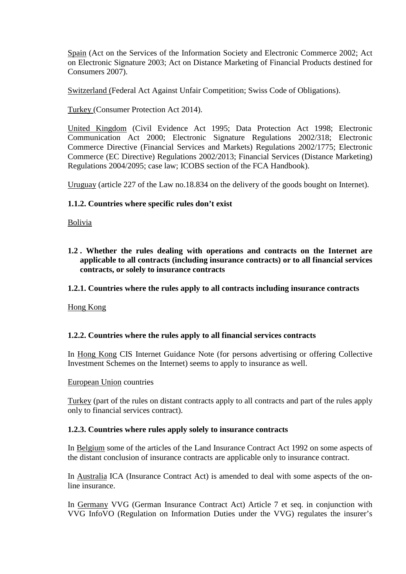Spain (Act on the Services of the Information Society and Electronic Commerce 2002; Act on Electronic Signature 2003; Act on Distance Marketing of Financial Products destined for Consumers 2007).

Switzerland (Federal Act Against Unfair Competition; Swiss Code of Obligations).

Turkey (Consumer Protection Act 2014).

United Kingdom (Civil Evidence Act 1995; Data Protection Act 1998; Electronic Communication Act 2000; Electronic Signature Regulations 2002/318; Electronic Commerce Directive (Financial Services and Markets) Regulations 2002/1775; Electronic Commerce (EC Directive) Regulations 2002/2013; Financial Services (Distance Marketing) Regulations 2004/2095; case law; ICOBS section of the FCA Handbook).

Uruguay (article 227 of the Law no.18.834 on the delivery of the goods bought on Internet).

### **1.1.2. Countries where specific rules don't exist**

Bolivia

**1.2 . Whether the rules dealing with operations and contracts on the Internet are applicable to all contracts (including insurance contracts) or to all financial services contracts, or solely to insurance contracts** 

#### **1.2.1. Countries where the rules apply to all contracts including insurance contracts**

Hong Kong

#### **1.2.2. Countries where the rules apply to all financial services contracts**

In Hong Kong CIS Internet Guidance Note (for persons advertising or offering Collective Investment Schemes on the Internet) seems to apply to insurance as well.

#### European Union countries

Turkey (part of the rules on distant contracts apply to all contracts and part of the rules apply only to financial services contract).

#### **1.2.3. Countries where rules apply solely to insurance contracts**

In Belgium some of the articles of the Land Insurance Contract Act 1992 on some aspects of the distant conclusion of insurance contracts are applicable only to insurance contract.

In Australia ICA (Insurance Contract Act) is amended to deal with some aspects of the online insurance.

In Germany VVG (German Insurance Contract Act) Article 7 et seq. in conjunction with VVG InfoVO (Regulation on Information Duties under the VVG) regulates the insurer's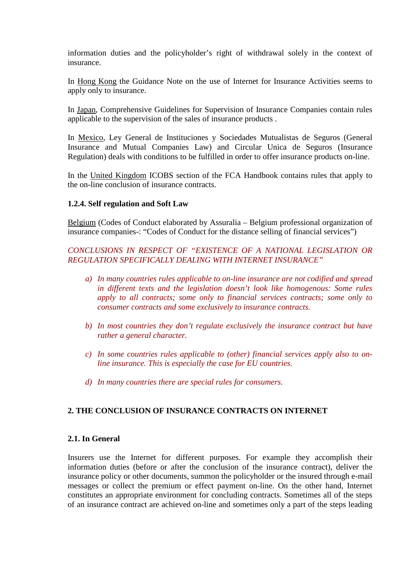information duties and the policyholder's right of withdrawal solely in the context of insurance.

In Hong Kong the Guidance Note on the use of Internet for Insurance Activities seems to apply only to insurance.

In Japan, Comprehensive Guidelines for Supervision of Insurance Companies contain rules applicable to the supervision of the sales of insurance products .

In Mexico, Ley General de Instituciones y Sociedades Mutualistas de Seguros (General Insurance and Mutual Companies Law) and Circular Unica de Seguros (Insurance Regulation) deals with conditions to be fulfilled in order to offer insurance products on-line.

In the United Kingdom ICOBS section of the FCA Handbook contains rules that apply to the on-line conclusion of insurance contracts.

### **1.2.4. Self regulation and Soft Law**

Belgium (Codes of Conduct elaborated by Assuralia – Belgium professional organization of insurance companies-: "Codes of Conduct for the distance selling of financial services")

## *CONCLUSIONS IN RESPECT OF "EXISTENCE OF A NATIONAL LEGISLATION OR REGULATION SPECIFICALLY DEALING WITH INTERNET INSURANCE"*

- *a) In many countries rules applicable to on-line insurance are not codified and spread in different texts and the legislation doesn't look like homogenous: Some rules apply to all contracts; some only to financial services contracts; some only to consumer contracts and some exclusively to insurance contracts.*
- *b) In most countries they don't regulate exclusively the insurance contract but have rather a general character.*
- *c) In some countries rules applicable to (other) financial services apply also to online insurance. This is especially the case for EU countries.*
- *d) In many countries there are special rules for consumers.*

#### **2. THE CONCLUSION OF INSURANCE CONTRACTS ON INTERNET**

#### **2.1. In General**

Insurers use the Internet for different purposes. For example they accomplish their information duties (before or after the conclusion of the insurance contract), deliver the insurance policy or other documents, summon the policyholder or the insured through e-mail messages or collect the premium or effect payment on-line. On the other hand, Internet constitutes an appropriate environment for concluding contracts. Sometimes all of the steps of an insurance contract are achieved on-line and sometimes only a part of the steps leading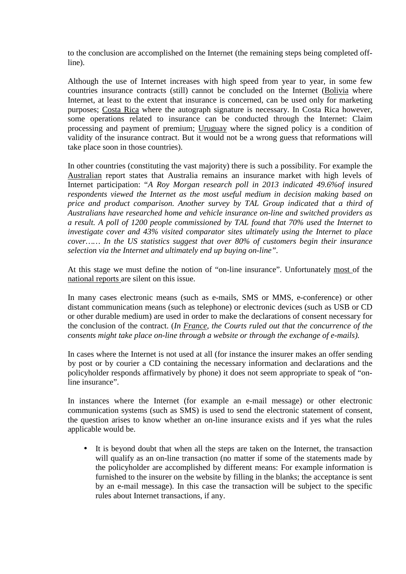to the conclusion are accomplished on the Internet (the remaining steps being completed offline).

Although the use of Internet increases with high speed from year to year, in some few countries insurance contracts (still) cannot be concluded on the Internet (Bolivia where Internet, at least to the extent that insurance is concerned, can be used only for marketing purposes; Costa Rica where the autograph signature is necessary. In Costa Rica however, some operations related to insurance can be conducted through the Internet: Claim processing and payment of premium; Uruguay where the signed policy is a condition of validity of the insurance contract. But it would not be a wrong guess that reformations will take place soon in those countries).

In other countries (constituting the vast majority) there is such a possibility. For example the Australian report states that Australia remains an insurance market with high levels of Internet participation: "*A Roy Morgan research poll in 2013 indicated 49.6%of insured respondents viewed the Internet as the most useful medium in decision making based on price and product comparison. Another survey by TAL Group indicated that a third of Australians have researched home and vehicle insurance on-line and switched providers as a result. A poll of 1200 people commissioned by TAL found that 70% used the Internet to investigate cover and 43% visited comparator sites ultimately using the Internet to place cover…… In the US statistics suggest that over 80% of customers begin their insurance selection via the Internet and ultimately end up buying on-line".*

At this stage we must define the notion of "on-line insurance". Unfortunately most of the national reports are silent on this issue.

In many cases electronic means (such as e-mails, SMS or MMS, e-conference) or other distant communication means (such as telephone) or electronic devices (such as USB or CD or other durable medium) are used in order to make the declarations of consent necessary for the conclusion of the contract. (*In France, the Courts ruled out that the concurrence of the consents might take place on-line through a website or through the exchange of e-mails).* 

In cases where the Internet is not used at all (for instance the insurer makes an offer sending by post or by courier a CD containing the necessary information and declarations and the policyholder responds affirmatively by phone) it does not seem appropriate to speak of "online insurance".

In instances where the Internet (for example an e-mail message) or other electronic communication systems (such as SMS) is used to send the electronic statement of consent, the question arises to know whether an on-line insurance exists and if yes what the rules applicable would be.

• It is beyond doubt that when all the steps are taken on the Internet, the transaction will qualify as an on-line transaction (no matter if some of the statements made by the policyholder are accomplished by different means: For example information is furnished to the insurer on the website by filling in the blanks; the acceptance is sent by an e-mail message). In this case the transaction will be subject to the specific rules about Internet transactions, if any.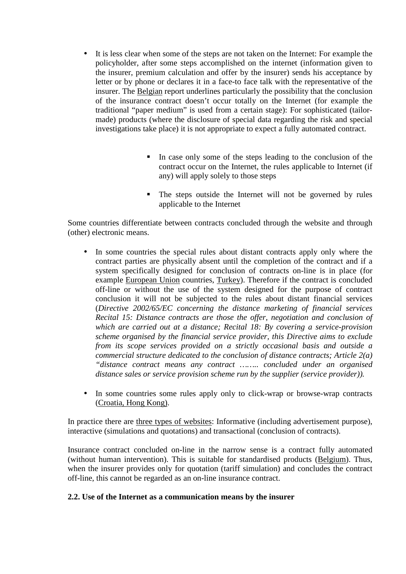- It is less clear when some of the steps are not taken on the Internet: For example the policyholder, after some steps accomplished on the internet (information given to the insurer, premium calculation and offer by the insurer) sends his acceptance by letter or by phone or declares it in a face-to face talk with the representative of the insurer. The Belgian report underlines particularly the possibility that the conclusion of the insurance contract doesn't occur totally on the Internet (for example the traditional "paper medium" is used from a certain stage): For sophisticated (tailormade) products (where the disclosure of special data regarding the risk and special investigations take place) it is not appropriate to expect a fully automated contract.
	- In case only some of the steps leading to the conclusion of the contract occur on the Internet, the rules applicable to Internet (if any) will apply solely to those steps
	- The steps outside the Internet will not be governed by rules applicable to the Internet

Some countries differentiate between contracts concluded through the website and through (other) electronic means.

- In some countries the special rules about distant contracts apply only where the contract parties are physically absent until the completion of the contract and if a system specifically designed for conclusion of contracts on-line is in place (for example European Union countries, Turkey). Therefore if the contract is concluded off-line or without the use of the system designed for the purpose of contract conclusion it will not be subjected to the rules about distant financial services (*Directive 2002/65/EC concerning the distance marketing of financial services Recital 15: Distance contracts are those the offer, negotiation and conclusion of which are carried out at a distance; Recital 18: By covering a service-provision scheme organised by the financial service provider, this Directive aims to exclude from its scope services provided on a strictly occasional basis and outside a commercial structure dedicated to the conclusion of distance contracts; Article 2(a) "distance contract means any contract …….. concluded under an organised distance sales or service provision scheme run by the supplier (service provider)).*
- In some countries some rules apply only to click-wrap or browse-wrap contracts (Croatia, Hong Kong).

In practice there are three types of websites: Informative (including advertisement purpose), interactive (simulations and quotations) and transactional (conclusion of contracts).

Insurance contract concluded on-line in the narrow sense is a contract fully automated (without human intervention). This is suitable for standardised products (Belgium). Thus, when the insurer provides only for quotation (tariff simulation) and concludes the contract off-line, this cannot be regarded as an on-line insurance contract.

#### **2.2. Use of the Internet as a communication means by the insurer**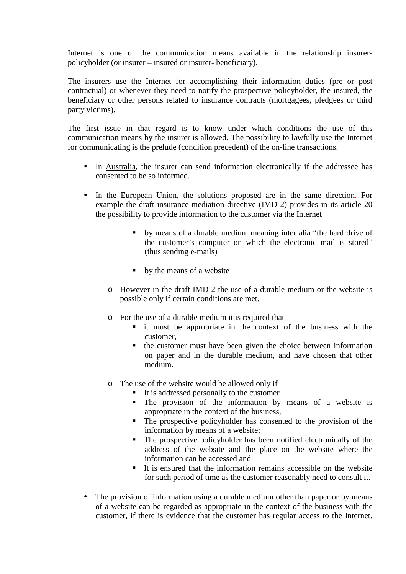Internet is one of the communication means available in the relationship insurerpolicyholder (or insurer – insured or insurer- beneficiary).

The insurers use the Internet for accomplishing their information duties (pre or post contractual) or whenever they need to notify the prospective policyholder, the insured, the beneficiary or other persons related to insurance contracts (mortgagees, pledgees or third party victims).

The first issue in that regard is to know under which conditions the use of this communication means by the insurer is allowed. The possibility to lawfully use the Internet for communicating is the prelude (condition precedent) of the on-line transactions.

- In Australia, the insurer can send information electronically if the addressee has consented to be so informed.
- In the European Union, the solutions proposed are in the same direction. For example the draft insurance mediation directive (IMD 2) provides in its article 20 the possibility to provide information to the customer via the Internet
	- by means of a durable medium meaning inter alia "the hard drive of the customer's computer on which the electronic mail is stored" (thus sending e-mails)
	- by the means of a website
	- o However in the draft IMD 2 the use of a durable medium or the website is possible only if certain conditions are met.
	- o For the use of a durable medium it is required that
		- it must be appropriate in the context of the business with the customer,
		- the customer must have been given the choice between information on paper and in the durable medium, and have chosen that other medium.
	- o The use of the website would be allowed only if
		- It is addressed personally to the customer<br>■ The provision of the information by
		- The provision of the information by means of a website is appropriate in the context of the business,
		- The prospective policyholder has consented to the provision of the information by means of a website;
		- The prospective policyholder has been notified electronically of the address of the website and the place on the website where the information can be accessed and
		- It is ensured that the information remains accessible on the website for such period of time as the customer reasonably need to consult it.
- The provision of information using a durable medium other than paper or by means of a website can be regarded as appropriate in the context of the business with the customer, if there is evidence that the customer has regular access to the Internet.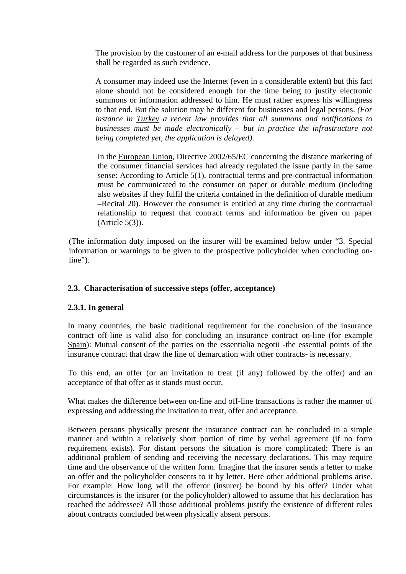The provision by the customer of an e-mail address for the purposes of that business shall be regarded as such evidence.

A consumer may indeed use the Internet (even in a considerable extent) but this fact alone should not be considered enough for the time being to justify electronic summons or information addressed to him. He must rather express his willingness to that end. But the solution may be different for businesses and legal persons. *(For instance in Turkey a recent law provides that all summons and notifications to businesses must be made electronically – but in practice the infrastructure not being completed yet, the application is delayed)*.

In the European Union, Directive 2002/65/EC concerning the distance marketing of the consumer financial services had already regulated the issue partly in the same sense: According to Article 5(1), contractual terms and pre-contractual information must be communicated to the consumer on paper or durable medium (including also websites if they fulfil the criteria contained in the definition of durable medium –Recital 20). However the consumer is entitled at any time during the contractual relationship to request that contract terms and information be given on paper (Article 5(3)).

(The information duty imposed on the insurer will be examined below under "3. Special information or warnings to be given to the prospective policyholder when concluding online").

## **2.3. Characterisation of successive steps (offer, acceptance)**

#### **2.3.1. In general**

In many countries, the basic traditional requirement for the conclusion of the insurance contract off-line is valid also for concluding an insurance contract on-line (for example Spain): Mutual consent of the parties on the essentialia negotii -the essential points of the insurance contract that draw the line of demarcation with other contracts- is necessary.

To this end, an offer (or an invitation to treat (if any) followed by the offer) and an acceptance of that offer as it stands must occur.

What makes the difference between on-line and off-line transactions is rather the manner of expressing and addressing the invitation to treat, offer and acceptance.

Between persons physically present the insurance contract can be concluded in a simple manner and within a relatively short portion of time by verbal agreement (if no form requirement exists). For distant persons the situation is more complicated: There is an additional problem of sending and receiving the necessary declarations. This may require time and the observance of the written form. Imagine that the insurer sends a letter to make an offer and the policyholder consents to it by letter. Here other additional problems arise. For example: How long will the offeror (insurer) be bound by his offer? Under what circumstances is the insurer (or the policyholder) allowed to assume that his declaration has reached the addressee? All those additional problems justify the existence of different rules about contracts concluded between physically absent persons.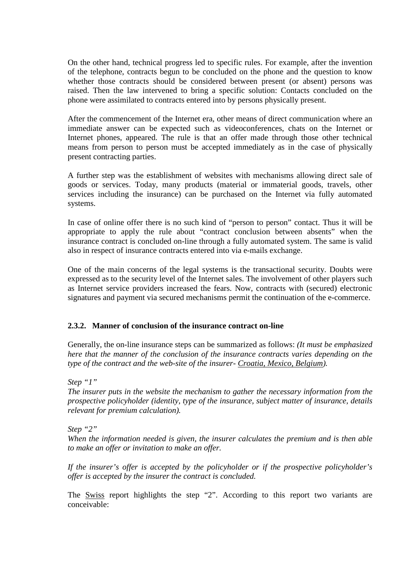On the other hand, technical progress led to specific rules. For example, after the invention of the telephone, contracts begun to be concluded on the phone and the question to know whether those contracts should be considered between present (or absent) persons was raised. Then the law intervened to bring a specific solution: Contacts concluded on the phone were assimilated to contracts entered into by persons physically present.

After the commencement of the Internet era, other means of direct communication where an immediate answer can be expected such as videoconferences, chats on the Internet or Internet phones, appeared. The rule is that an offer made through those other technical means from person to person must be accepted immediately as in the case of physically present contracting parties.

A further step was the establishment of websites with mechanisms allowing direct sale of goods or services. Today, many products (material or immaterial goods, travels, other services including the insurance) can be purchased on the Internet via fully automated systems.

In case of online offer there is no such kind of "person to person" contact. Thus it will be appropriate to apply the rule about "contract conclusion between absents" when the insurance contract is concluded on-line through a fully automated system. The same is valid also in respect of insurance contracts entered into via e-mails exchange.

One of the main concerns of the legal systems is the transactional security. Doubts were expressed as to the security level of the Internet sales. The involvement of other players such as Internet service providers increased the fears. Now, contracts with (secured) electronic signatures and payment via secured mechanisms permit the continuation of the e-commerce.

## **2.3.2. Manner of conclusion of the insurance contract on-line**

Generally, the on-line insurance steps can be summarized as follows: *(It must be emphasized here that the manner of the conclusion of the insurance contracts varies depending on the type of the contract and the web-site of the insurer- Croatia, Mexico, Belgium).* 

*Step "1"* 

*The insurer puts in the website the mechanism to gather the necessary information from the prospective policyholder (identity, type of the insurance, subject matter of insurance, details relevant for premium calculation).* 

*Step "2"* 

*When the information needed is given, the insurer calculates the premium and is then able to make an offer or invitation to make an offer.* 

*If the insurer's offer is accepted by the policyholder or if the prospective policyholder's offer is accepted by the insurer the contract is concluded.* 

The Swiss report highlights the step "2". According to this report two variants are conceivable: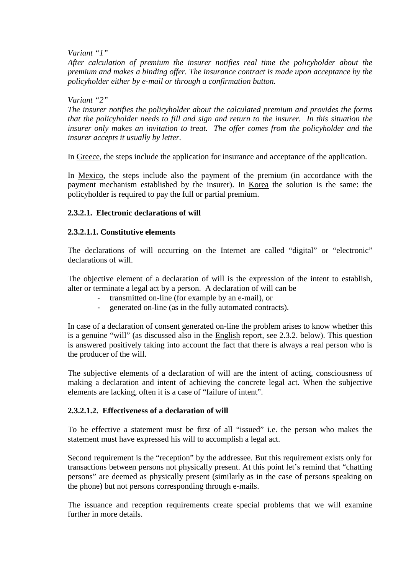*Variant "1"* 

*After calculation of premium the insurer notifies real time the policyholder about the premium and makes a binding offer. The insurance contract is made upon acceptance by the policyholder either by e-mail or through a confirmation button.* 

#### *Variant "2"*

*The insurer notifies the policyholder about the calculated premium and provides the forms that the policyholder needs to fill and sign and return to the insurer. In this situation the insurer only makes an invitation to treat. The offer comes from the policyholder and the insurer accepts it usually by letter.* 

In Greece, the steps include the application for insurance and acceptance of the application.

In Mexico, the steps include also the payment of the premium (in accordance with the payment mechanism established by the insurer). In Korea the solution is the same: the policyholder is required to pay the full or partial premium.

## **2.3.2.1. Electronic declarations of will**

## **2.3.2.1.1. Constitutive elements**

The declarations of will occurring on the Internet are called "digital" or "electronic" declarations of will.

The objective element of a declaration of will is the expression of the intent to establish, alter or terminate a legal act by a person. A declaration of will can be

- transmitted on-line (for example by an e-mail), or
- generated on-line (as in the fully automated contracts).

In case of a declaration of consent generated on-line the problem arises to know whether this is a genuine "will" (as discussed also in the English report, see 2.3.2. below). This question is answered positively taking into account the fact that there is always a real person who is the producer of the will.

The subjective elements of a declaration of will are the intent of acting, consciousness of making a declaration and intent of achieving the concrete legal act. When the subjective elements are lacking, often it is a case of "failure of intent".

#### **2.3.2.1.2. Effectiveness of a declaration of will**

To be effective a statement must be first of all "issued" i.e. the person who makes the statement must have expressed his will to accomplish a legal act.

Second requirement is the "reception" by the addressee. But this requirement exists only for transactions between persons not physically present. At this point let's remind that "chatting persons" are deemed as physically present (similarly as in the case of persons speaking on the phone) but not persons corresponding through e-mails.

The issuance and reception requirements create special problems that we will examine further in more details.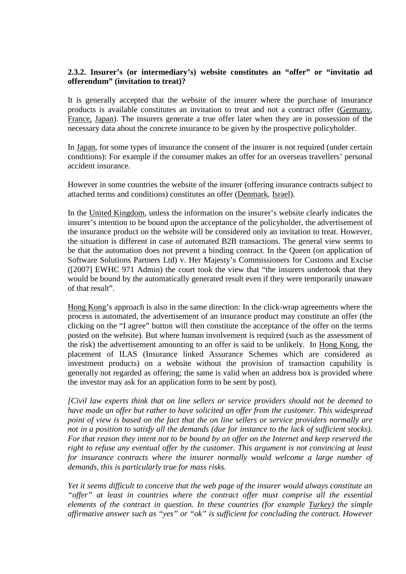## **2.3.2. Insurer's (or intermediary's) website constitutes an "offer" or "invitatio ad offerendum" (invitation to treat)?**

It is generally accepted that the website of the insurer where the purchase of insurance products is available constitutes an invitation to treat and not a contract offer (Germany, France, Japan). The insurers generate a true offer later when they are in possession of the necessary data about the concrete insurance to be given by the prospective policyholder.

In Japan, for some types of insurance the consent of the insurer is not required (under certain conditions): For example if the consumer makes an offer for an overseas travellers' personal accident insurance.

However in some countries the website of the insurer (offering insurance contracts subject to attached terms and conditions) constitutes an offer (Denmark, Israel).

In the United Kingdom, unless the information on the insurer's website clearly indicates the insurer's intention to be bound upon the acceptance of the policyholder, the advertisement of the insurance product on the website will be considered only an invitation to treat. However, the situation is different in case of automated B2B transactions. The general view seems to be that the automation does not prevent a binding contract. In the Queen (on application of Software Solutions Partners Ltd) v. Her Majesty's Commissioners for Customs and Excise ([2007] EWHC 971 Admin) the court took the view that "the insurers undertook that they would be bound by the automatically generated result even if they were temporarily unaware of that result".

Hong Kong's approach is also in the same direction: In the click-wrap agreements where the process is automated, the advertisement of an insurance product may constitute an offer (the clicking on the "I agree" button will then constitute the acceptance of the offer on the terms posted on the website). But where human involvement is required (such as the assessment of the risk) the advertisement amounting to an offer is said to be unlikely. In Hong Kong, the placement of ILAS (Insurance linked Assurance Schemes which are considered as investment products) on a website without the provision of transaction capability is generally not regarded as offering; the same is valid when an address box is provided where the investor may ask for an application form to be sent by post).

*[Civil law experts think that on line sellers or service providers should not be deemed to have made an offer but rather to have solicited an offer from the customer. This widespread point of view is based on the fact that the on line sellers or service providers normally are not in a position to satisfy all the demands (due for instance to the lack of sufficient stocks). For that reason they intent not to be bound by an offer on the Internet and keep reserved the right to refuse any eventual offer by the customer. This argument is not convincing at least*  for insurance contracts where the insurer normally would welcome a large number of *demands, this is particularly true for mass risks.* 

*Yet it seems difficult to conceive that the web page of the insurer would always constitute an "offer" at least in countries where the contract offer must comprise all the essential elements of the contract in question. In these countries (for example Turkey) the simple affirmative answer such as "yes" or "ok" is sufficient for concluding the contract. However*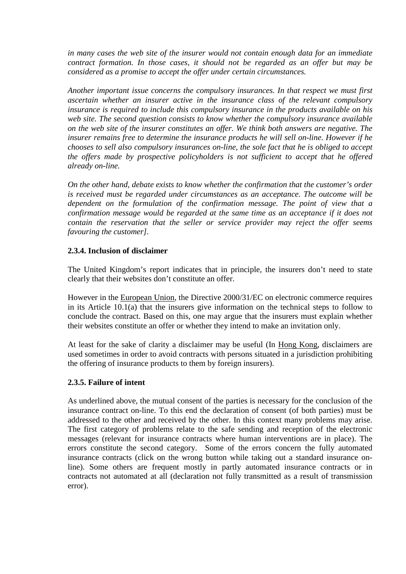*in many cases the web site of the insurer would not contain enough data for an immediate contract formation. In those cases, it should not be regarded as an offer but may be considered as a promise to accept the offer under certain circumstances.* 

*Another important issue concerns the compulsory insurances. In that respect we must first ascertain whether an insurer active in the insurance class of the relevant compulsory insurance is required to include this compulsory insurance in the products available on his web site. The second question consists to know whether the compulsory insurance available on the web site of the insurer constitutes an offer. We think both answers are negative. The insurer remains free to determine the insurance products he will sell on-line. However if he chooses to sell also compulsory insurances on-line, the sole fact that he is obliged to accept the offers made by prospective policyholders is not sufficient to accept that he offered already on-line.* 

*On the other hand, debate exists to know whether the confirmation that the customer's order is received must be regarded under circumstances as an acceptance. The outcome will be dependent on the formulation of the confirmation message. The point of view that a confirmation message would be regarded at the same time as an acceptance if it does not contain the reservation that the seller or service provider may reject the offer seems favouring the customer].* 

### **2.3.4. Inclusion of disclaimer**

The United Kingdom's report indicates that in principle, the insurers don't need to state clearly that their websites don't constitute an offer.

However in the European Union, the Directive 2000/31/EC on electronic commerce requires in its Article 10.1(a) that the insurers give information on the technical steps to follow to conclude the contract. Based on this, one may argue that the insurers must explain whether their websites constitute an offer or whether they intend to make an invitation only.

At least for the sake of clarity a disclaimer may be useful (In Hong Kong, disclaimers are used sometimes in order to avoid contracts with persons situated in a jurisdiction prohibiting the offering of insurance products to them by foreign insurers).

#### **2.3.5. Failure of intent**

As underlined above, the mutual consent of the parties is necessary for the conclusion of the insurance contract on-line. To this end the declaration of consent (of both parties) must be addressed to the other and received by the other. In this context many problems may arise. The first category of problems relate to the safe sending and reception of the electronic messages (relevant for insurance contracts where human interventions are in place). The errors constitute the second category. Some of the errors concern the fully automated insurance contracts (click on the wrong button while taking out a standard insurance online). Some others are frequent mostly in partly automated insurance contracts or in contracts not automated at all (declaration not fully transmitted as a result of transmission error).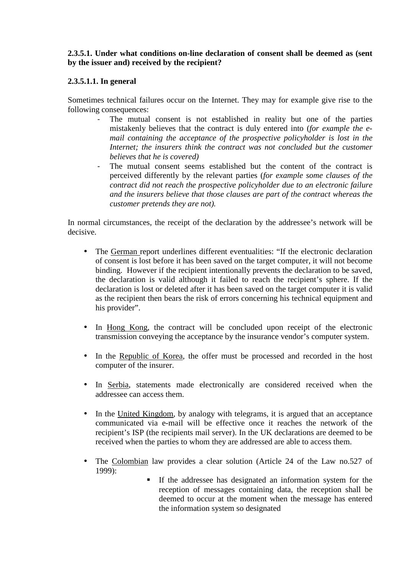## **2.3.5.1. Under what conditions on-line declaration of consent shall be deemed as (sent by the issuer and) received by the recipient?**

# **2.3.5.1.1. In general**

Sometimes technical failures occur on the Internet. They may for example give rise to the following consequences:

- The mutual consent is not established in reality but one of the parties mistakenly believes that the contract is duly entered into (*for example the email containing the acceptance of the prospective policyholder is lost in the Internet: the insurers think the contract was not concluded but the customer believes that he is covered)*
- The mutual consent seems established but the content of the contract is perceived differently by the relevant parties (*for example some clauses of the contract did not reach the prospective policyholder due to an electronic failure and the insurers believe that those clauses are part of the contract whereas the customer pretends they are not).*

In normal circumstances, the receipt of the declaration by the addressee's network will be decisive.

- The German report underlines different eventualities: "If the electronic declaration of consent is lost before it has been saved on the target computer, it will not become binding. However if the recipient intentionally prevents the declaration to be saved, the declaration is valid although it failed to reach the recipient's sphere. If the declaration is lost or deleted after it has been saved on the target computer it is valid as the recipient then bears the risk of errors concerning his technical equipment and his provider".
- In Hong Kong, the contract will be concluded upon receipt of the electronic transmission conveying the acceptance by the insurance vendor's computer system.
- In the Republic of Korea, the offer must be processed and recorded in the host computer of the insurer.
- In Serbia, statements made electronically are considered received when the addressee can access them.
- In the United Kingdom, by analogy with telegrams, it is argued that an acceptance communicated via e-mail will be effective once it reaches the network of the recipient's ISP (the recipients mail server). In the UK declarations are deemed to be received when the parties to whom they are addressed are able to access them.
- The Colombian law provides a clear solution (Article 24 of the Law no.527 of 1999):
	- If the addressee has designated an information system for the reception of messages containing data, the reception shall be deemed to occur at the moment when the message has entered the information system so designated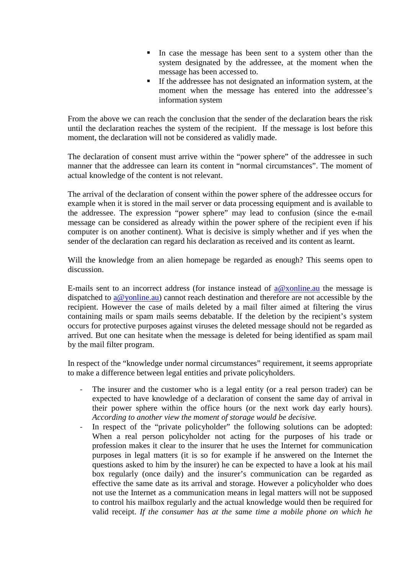- In case the message has been sent to a system other than the system designated by the addressee, at the moment when the message has been accessed to.
- If the addressee has not designated an information system, at the moment when the message has entered into the addressee's information system

From the above we can reach the conclusion that the sender of the declaration bears the risk until the declaration reaches the system of the recipient. If the message is lost before this moment, the declaration will not be considered as validly made.

The declaration of consent must arrive within the "power sphere" of the addressee in such manner that the addressee can learn its content in "normal circumstances". The moment of actual knowledge of the content is not relevant.

The arrival of the declaration of consent within the power sphere of the addressee occurs for example when it is stored in the mail server or data processing equipment and is available to the addressee. The expression "power sphere" may lead to confusion (since the e-mail message can be considered as already within the power sphere of the recipient even if his computer is on another continent). What is decisive is simply whether and if yes when the sender of the declaration can regard his declaration as received and its content as learnt.

Will the knowledge from an alien homepage be regarded as enough? This seems open to discussion.

E-mails sent to an incorrect address (for instance instead of  $a@x$  online. au the message is dispatched to  $a@$  yonline.au) cannot reach destination and therefore are not accessible by the recipient. However the case of mails deleted by a mail filter aimed at filtering the virus containing mails or spam mails seems debatable. If the deletion by the recipient's system occurs for protective purposes against viruses the deleted message should not be regarded as arrived. But one can hesitate when the message is deleted for being identified as spam mail by the mail filter program.

In respect of the "knowledge under normal circumstances" requirement, it seems appropriate to make a difference between legal entities and private policyholders.

- The insurer and the customer who is a legal entity (or a real person trader) can be expected to have knowledge of a declaration of consent the same day of arrival in their power sphere within the office hours (or the next work day early hours). *According to another view the moment of storage would be decisive.*
- In respect of the "private policyholder" the following solutions can be adopted: When a real person policyholder not acting for the purposes of his trade or profession makes it clear to the insurer that he uses the Internet for communication purposes in legal matters (it is so for example if he answered on the Internet the questions asked to him by the insurer) he can be expected to have a look at his mail box regularly (once daily) and the insurer's communication can be regarded as effective the same date as its arrival and storage. However a policyholder who does not use the Internet as a communication means in legal matters will not be supposed to control his mailbox regularly and the actual knowledge would then be required for valid receipt. *If the consumer has at the same time a mobile phone on which he*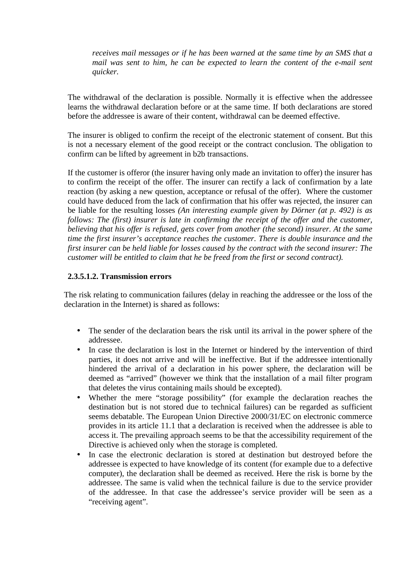*receives mail messages or if he has been warned at the same time by an SMS that a mail was sent to him, he can be expected to learn the content of the e-mail sent quicker.* 

The withdrawal of the declaration is possible. Normally it is effective when the addressee learns the withdrawal declaration before or at the same time. If both declarations are stored before the addressee is aware of their content, withdrawal can be deemed effective.

The insurer is obliged to confirm the receipt of the electronic statement of consent. But this is not a necessary element of the good receipt or the contract conclusion. The obligation to confirm can be lifted by agreement in b2b transactions.

If the customer is offeror (the insurer having only made an invitation to offer) the insurer has to confirm the receipt of the offer. The insurer can rectify a lack of confirmation by a late reaction (by asking a new question, acceptance or refusal of the offer). Where the customer could have deduced from the lack of confirmation that his offer was rejected, the insurer can be liable for the resulting losses *(An interesting example given by Dörner (at p. 492) is as follows: The (first) insurer is late in confirming the receipt of the offer and the customer, believing that his offer is refused, gets cover from another (the second) insurer. At the same time the first insurer's acceptance reaches the customer. There is double insurance and the first insurer can be held liable for losses caused by the contract with the second insurer: The customer will be entitled to claim that he be freed from the first or second contract).* 

### **2.3.5.1.2. Transmission errors**

The risk relating to communication failures (delay in reaching the addressee or the loss of the declaration in the Internet) is shared as follows:

- The sender of the declaration bears the risk until its arrival in the power sphere of the addressee.
- In case the declaration is lost in the Internet or hindered by the intervention of third parties, it does not arrive and will be ineffective. But if the addressee intentionally hindered the arrival of a declaration in his power sphere, the declaration will be deemed as "arrived" (however we think that the installation of a mail filter program that deletes the virus containing mails should be excepted).
- Whether the mere "storage possibility" (for example the declaration reaches the destination but is not stored due to technical failures) can be regarded as sufficient seems debatable. The European Union Directive 2000/31/EC on electronic commerce provides in its article 11.1 that a declaration is received when the addressee is able to access it. The prevailing approach seems to be that the accessibility requirement of the Directive is achieved only when the storage is completed.
- In case the electronic declaration is stored at destination but destroyed before the addressee is expected to have knowledge of its content (for example due to a defective computer), the declaration shall be deemed as received. Here the risk is borne by the addressee. The same is valid when the technical failure is due to the service provider of the addressee. In that case the addressee's service provider will be seen as a "receiving agent".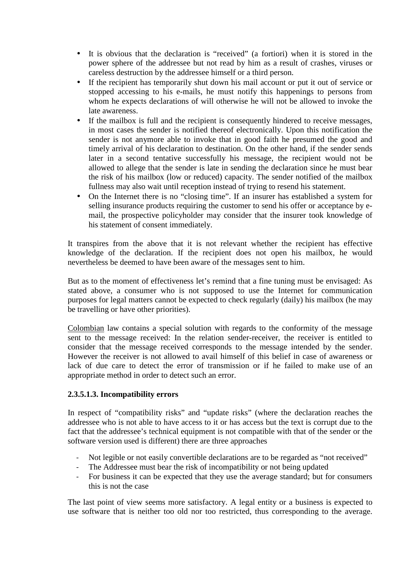- It is obvious that the declaration is "received" (a fortiori) when it is stored in the power sphere of the addressee but not read by him as a result of crashes, viruses or careless destruction by the addressee himself or a third person.
- If the recipient has temporarily shut down his mail account or put it out of service or stopped accessing to his e-mails, he must notify this happenings to persons from whom he expects declarations of will otherwise he will not be allowed to invoke the late awareness.
- If the mailbox is full and the recipient is consequently hindered to receive messages, in most cases the sender is notified thereof electronically. Upon this notification the sender is not anymore able to invoke that in good faith he presumed the good and timely arrival of his declaration to destination. On the other hand, if the sender sends later in a second tentative successfully his message, the recipient would not be allowed to allege that the sender is late in sending the declaration since he must bear the risk of his mailbox (low or reduced) capacity. The sender notified of the mailbox fullness may also wait until reception instead of trying to resend his statement.
- On the Internet there is no "closing time". If an insurer has established a system for selling insurance products requiring the customer to send his offer or acceptance by email, the prospective policyholder may consider that the insurer took knowledge of his statement of consent immediately.

It transpires from the above that it is not relevant whether the recipient has effective knowledge of the declaration. If the recipient does not open his mailbox, he would nevertheless be deemed to have been aware of the messages sent to him.

But as to the moment of effectiveness let's remind that a fine tuning must be envisaged: As stated above, a consumer who is not supposed to use the Internet for communication purposes for legal matters cannot be expected to check regularly (daily) his mailbox (he may be travelling or have other priorities).

Colombian law contains a special solution with regards to the conformity of the message sent to the message received: In the relation sender-receiver, the receiver is entitled to consider that the message received corresponds to the message intended by the sender. However the receiver is not allowed to avail himself of this belief in case of awareness or lack of due care to detect the error of transmission or if he failed to make use of an appropriate method in order to detect such an error.

## **2.3.5.1.3. Incompatibility errors**

In respect of "compatibility risks" and "update risks" (where the declaration reaches the addressee who is not able to have access to it or has access but the text is corrupt due to the fact that the addressee's technical equipment is not compatible with that of the sender or the software version used is different) there are three approaches

- Not legible or not easily convertible declarations are to be regarded as "not received"
- The Addressee must bear the risk of incompatibility or not being updated
- For business it can be expected that they use the average standard; but for consumers this is not the case

The last point of view seems more satisfactory. A legal entity or a business is expected to use software that is neither too old nor too restricted, thus corresponding to the average.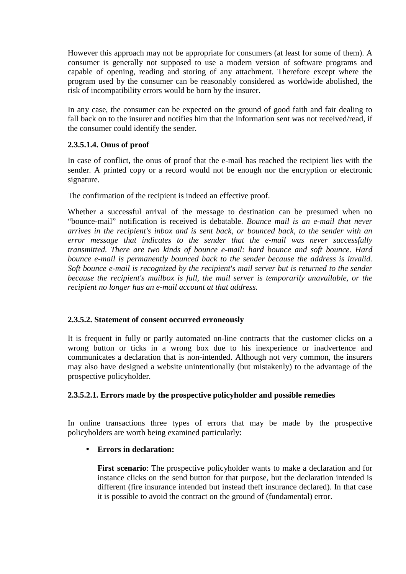However this approach may not be appropriate for consumers (at least for some of them). A consumer is generally not supposed to use a modern version of software programs and capable of opening, reading and storing of any attachment. Therefore except where the program used by the consumer can be reasonably considered as worldwide abolished, the risk of incompatibility errors would be born by the insurer.

In any case, the consumer can be expected on the ground of good faith and fair dealing to fall back on to the insurer and notifies him that the information sent was not received/read, if the consumer could identify the sender.

## **2.3.5.1.4. Onus of proof**

In case of conflict, the onus of proof that the e-mail has reached the recipient lies with the sender. A printed copy or a record would not be enough nor the encryption or electronic signature.

The confirmation of the recipient is indeed an effective proof.

Whether a successful arrival of the message to destination can be presumed when no "bounce-mail" notification is received is debatable. *Bounce mail is an e-mail that never arrives in the recipient's inbox and is sent back, or bounced back, to the sender with an error message that indicates to the sender that the e-mail was never successfully transmitted. There are two kinds of bounce e-mail: hard bounce and soft bounce. Hard bounce e-mail is permanently bounced back to the sender because the address is invalid. Soft bounce e-mail is recognized by the recipient's mail server but is returned to the sender because the recipient's mailbox is full, the mail server is temporarily unavailable, or the recipient no longer has an e-mail account at that address.* 

## **2.3.5.2. Statement of consent occurred erroneously**

It is frequent in fully or partly automated on-line contracts that the customer clicks on a wrong button or ticks in a wrong box due to his inexperience or inadvertence and communicates a declaration that is non-intended. Although not very common, the insurers may also have designed a website unintentionally (but mistakenly) to the advantage of the prospective policyholder.

#### **2.3.5.2.1. Errors made by the prospective policyholder and possible remedies**

In online transactions three types of errors that may be made by the prospective policyholders are worth being examined particularly:

## • **Errors in declaration:**

**First scenario**: The prospective policyholder wants to make a declaration and for instance clicks on the send button for that purpose, but the declaration intended is different (fire insurance intended but instead theft insurance declared). In that case it is possible to avoid the contract on the ground of (fundamental) error.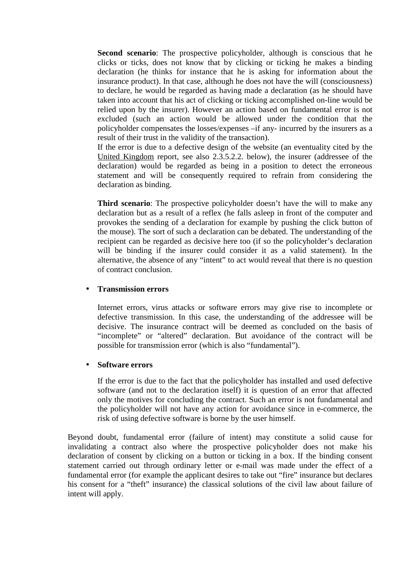**Second scenario**: The prospective policyholder, although is conscious that he clicks or ticks, does not know that by clicking or ticking he makes a binding declaration (he thinks for instance that he is asking for information about the insurance product). In that case, although he does not have the will (consciousness) to declare, he would be regarded as having made a declaration (as he should have taken into account that his act of clicking or ticking accomplished on-line would be relied upon by the insurer). However an action based on fundamental error is not excluded (such an action would be allowed under the condition that the policyholder compensates the losses/expenses –if any- incurred by the insurers as a result of their trust in the validity of the transaction).

If the error is due to a defective design of the website (an eventuality cited by the United Kingdom report, see also 2.3.5.2.2. below), the insurer (addressee of the declaration) would be regarded as being in a position to detect the erroneous statement and will be consequently required to refrain from considering the declaration as binding.

**Third scenario**: The prospective policyholder doesn't have the will to make any declaration but as a result of a reflex (he falls asleep in front of the computer and provokes the sending of a declaration for example by pushing the click button of the mouse). The sort of such a declaration can be debated. The understanding of the recipient can be regarded as decisive here too (if so the policyholder's declaration will be binding if the insurer could consider it as a valid statement). In the alternative, the absence of any "intent" to act would reveal that there is no question of contract conclusion.

#### • **Transmission errors**

Internet errors, virus attacks or software errors may give rise to incomplete or defective transmission. In this case, the understanding of the addressee will be decisive. The insurance contract will be deemed as concluded on the basis of "incomplete" or "altered" declaration. But avoidance of the contract will be possible for transmission error (which is also "fundamental").

#### • **Software errors**

If the error is due to the fact that the policyholder has installed and used defective software (and not to the declaration itself) it is question of an error that affected only the motives for concluding the contract. Such an error is not fundamental and the policyholder will not have any action for avoidance since in e-commerce, the risk of using defective software is borne by the user himself.

Beyond doubt, fundamental error (failure of intent) may constitute a solid cause for invalidating a contract also where the prospective policyholder does not make his declaration of consent by clicking on a button or ticking in a box. If the binding consent statement carried out through ordinary letter or e-mail was made under the effect of a fundamental error (for example the applicant desires to take out "fire" insurance but declares his consent for a "theft" insurance) the classical solutions of the civil law about failure of intent will apply.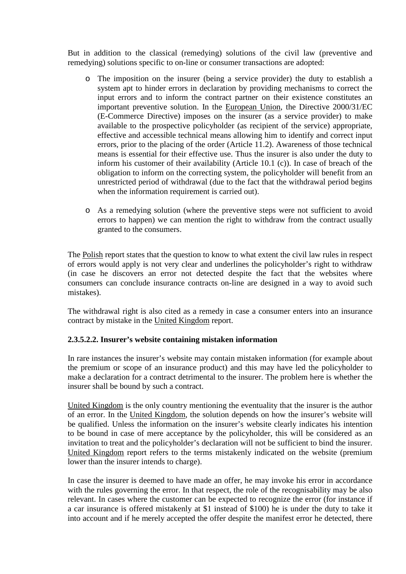But in addition to the classical (remedying) solutions of the civil law (preventive and remedying) solutions specific to on-line or consumer transactions are adopted:

- o The imposition on the insurer (being a service provider) the duty to establish a system apt to hinder errors in declaration by providing mechanisms to correct the input errors and to inform the contract partner on their existence constitutes an important preventive solution. In the European Union, the Directive 2000/31/EC (E-Commerce Directive) imposes on the insurer (as a service provider) to make available to the prospective policyholder (as recipient of the service) appropriate, effective and accessible technical means allowing him to identify and correct input errors, prior to the placing of the order (Article 11.2). Awareness of those technical means is essential for their effective use. Thus the insurer is also under the duty to inform his customer of their availability (Article 10.1 (c)). In case of breach of the obligation to inform on the correcting system, the policyholder will benefit from an unrestricted period of withdrawal (due to the fact that the withdrawal period begins when the information requirement is carried out).
- o As a remedying solution (where the preventive steps were not sufficient to avoid errors to happen) we can mention the right to withdraw from the contract usually granted to the consumers.

The Polish report states that the question to know to what extent the civil law rules in respect of errors would apply is not very clear and underlines the policyholder's right to withdraw (in case he discovers an error not detected despite the fact that the websites where consumers can conclude insurance contracts on-line are designed in a way to avoid such mistakes).

The withdrawal right is also cited as a remedy in case a consumer enters into an insurance contract by mistake in the United Kingdom report.

## **2.3.5.2.2. Insurer's website containing mistaken information**

In rare instances the insurer's website may contain mistaken information (for example about the premium or scope of an insurance product) and this may have led the policyholder to make a declaration for a contract detrimental to the insurer. The problem here is whether the insurer shall be bound by such a contract.

United Kingdom is the only country mentioning the eventuality that the insurer is the author of an error. In the United Kingdom, the solution depends on how the insurer's website will be qualified. Unless the information on the insurer's website clearly indicates his intention to be bound in case of mere acceptance by the policyholder, this will be considered as an invitation to treat and the policyholder's declaration will not be sufficient to bind the insurer. United Kingdom report refers to the terms mistakenly indicated on the website (premium lower than the insurer intends to charge).

In case the insurer is deemed to have made an offer, he may invoke his error in accordance with the rules governing the error. In that respect, the role of the recognisability may be also relevant. In cases where the customer can be expected to recognize the error (for instance if a car insurance is offered mistakenly at \$1 instead of \$100) he is under the duty to take it into account and if he merely accepted the offer despite the manifest error he detected, there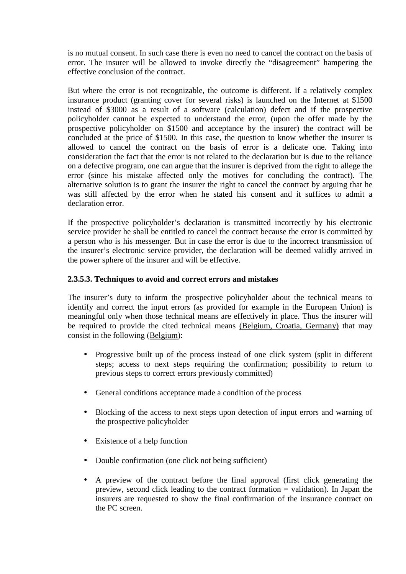is no mutual consent. In such case there is even no need to cancel the contract on the basis of error. The insurer will be allowed to invoke directly the "disagreement" hampering the effective conclusion of the contract.

But where the error is not recognizable, the outcome is different. If a relatively complex insurance product (granting cover for several risks) is launched on the Internet at \$1500 instead of \$3000 as a result of a software (calculation) defect and if the prospective policyholder cannot be expected to understand the error, (upon the offer made by the prospective policyholder on \$1500 and acceptance by the insurer) the contract will be concluded at the price of \$1500. In this case, the question to know whether the insurer is allowed to cancel the contract on the basis of error is a delicate one. Taking into consideration the fact that the error is not related to the declaration but is due to the reliance on a defective program, one can argue that the insurer is deprived from the right to allege the error (since his mistake affected only the motives for concluding the contract). The alternative solution is to grant the insurer the right to cancel the contract by arguing that he was still affected by the error when he stated his consent and it suffices to admit a declaration error.

If the prospective policyholder's declaration is transmitted incorrectly by his electronic service provider he shall be entitled to cancel the contract because the error is committed by a person who is his messenger. But in case the error is due to the incorrect transmission of the insurer's electronic service provider, the declaration will be deemed validly arrived in the power sphere of the insurer and will be effective.

## **2.3.5.3. Techniques to avoid and correct errors and mistakes**

The insurer's duty to inform the prospective policyholder about the technical means to identify and correct the input errors (as provided for example in the European Union) is meaningful only when those technical means are effectively in place. Thus the insurer will be required to provide the cited technical means (Belgium, Croatia, Germany) that may consist in the following (Belgium):

- Progressive built up of the process instead of one click system (split in different steps; access to next steps requiring the confirmation; possibility to return to previous steps to correct errors previously committed)
- General conditions acceptance made a condition of the process
- Blocking of the access to next steps upon detection of input errors and warning of the prospective policyholder
- Existence of a help function
- Double confirmation (one click not being sufficient)
- A preview of the contract before the final approval (first click generating the preview, second click leading to the contract formation = validation). In Japan the insurers are requested to show the final confirmation of the insurance contract on the PC screen.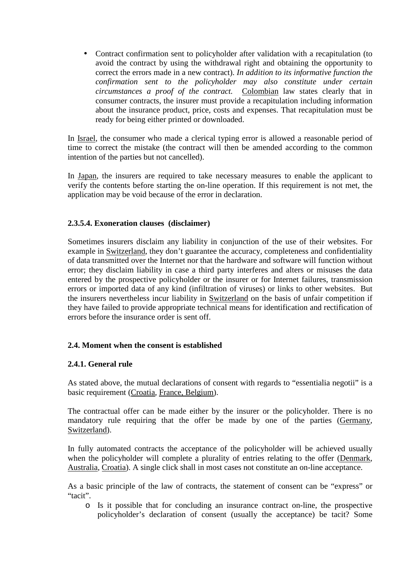• Contract confirmation sent to policyholder after validation with a recapitulation (to avoid the contract by using the withdrawal right and obtaining the opportunity to correct the errors made in a new contract). *In addition to its informative function the confirmation sent to the policyholder may also constitute under certain circumstances a proof of the contract.* Colombian law states clearly that in consumer contracts, the insurer must provide a recapitulation including information about the insurance product, price, costs and expenses. That recapitulation must be ready for being either printed or downloaded.

In Israel, the consumer who made a clerical typing error is allowed a reasonable period of time to correct the mistake (the contract will then be amended according to the common intention of the parties but not cancelled).

In Japan, the insurers are required to take necessary measures to enable the applicant to verify the contents before starting the on-line operation. If this requirement is not met, the application may be void because of the error in declaration.

### **2.3.5.4. Exoneration clauses (disclaimer)**

Sometimes insurers disclaim any liability in conjunction of the use of their websites. For example in Switzerland, they don't guarantee the accuracy, completeness and confidentiality of data transmitted over the Internet nor that the hardware and software will function without error; they disclaim liability in case a third party interferes and alters or misuses the data entered by the prospective policyholder or the insurer or for Internet failures, transmission errors or imported data of any kind (infiltration of viruses) or links to other websites. But the insurers nevertheless incur liability in Switzerland on the basis of unfair competition if they have failed to provide appropriate technical means for identification and rectification of errors before the insurance order is sent off.

#### **2.4. Moment when the consent is established**

#### **2.4.1. General rule**

As stated above, the mutual declarations of consent with regards to "essentialia negotii" is a basic requirement (Croatia, France, Belgium).

The contractual offer can be made either by the insurer or the policyholder. There is no mandatory rule requiring that the offer be made by one of the parties (Germany, Switzerland).

In fully automated contracts the acceptance of the policyholder will be achieved usually when the policyholder will complete a plurality of entries relating to the offer (Denmark, Australia, Croatia). A single click shall in most cases not constitute an on-line acceptance.

As a basic principle of the law of contracts, the statement of consent can be "express" or "tacit".

o Is it possible that for concluding an insurance contract on-line, the prospective policyholder's declaration of consent (usually the acceptance) be tacit? Some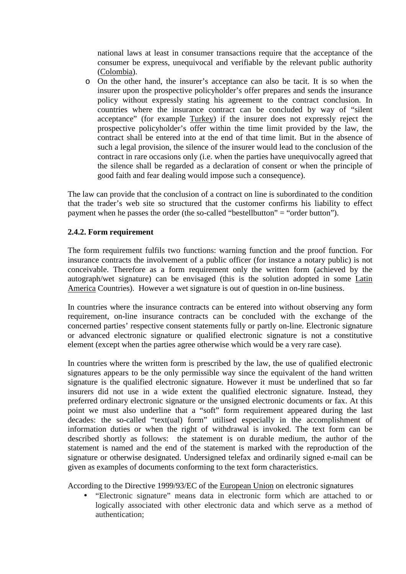national laws at least in consumer transactions require that the acceptance of the consumer be express, unequivocal and verifiable by the relevant public authority (Colombia).

o On the other hand, the insurer's acceptance can also be tacit. It is so when the insurer upon the prospective policyholder's offer prepares and sends the insurance policy without expressly stating his agreement to the contract conclusion. In countries where the insurance contract can be concluded by way of "silent acceptance" (for example Turkey) if the insurer does not expressly reject the prospective policyholder's offer within the time limit provided by the law, the contract shall be entered into at the end of that time limit. But in the absence of such a legal provision, the silence of the insurer would lead to the conclusion of the contract in rare occasions only (i.e. when the parties have unequivocally agreed that the silence shall be regarded as a declaration of consent or when the principle of good faith and fear dealing would impose such a consequence).

The law can provide that the conclusion of a contract on line is subordinated to the condition that the trader's web site so structured that the customer confirms his liability to effect payment when he passes the order (the so-called "bestellbutton"  $=$  "order button").

## **2.4.2. Form requirement**

The form requirement fulfils two functions: warning function and the proof function. For insurance contracts the involvement of a public officer (for instance a notary public) is not conceivable. Therefore as a form requirement only the written form (achieved by the autograph/wet signature) can be envisaged (this is the solution adopted in some Latin America Countries). However a wet signature is out of question in on-line business.

In countries where the insurance contracts can be entered into without observing any form requirement, on-line insurance contracts can be concluded with the exchange of the concerned parties' respective consent statements fully or partly on-line. Electronic signature or advanced electronic signature or qualified electronic signature is not a constitutive element (except when the parties agree otherwise which would be a very rare case).

In countries where the written form is prescribed by the law, the use of qualified electronic signatures appears to be the only permissible way since the equivalent of the hand written signature is the qualified electronic signature. However it must be underlined that so far insurers did not use in a wide extent the qualified electronic signature. Instead, they preferred ordinary electronic signature or the unsigned electronic documents or fax. At this point we must also underline that a "soft" form requirement appeared during the last decades: the so-called "text(ual) form" utilised especially in the accomplishment of information duties or when the right of withdrawal is invoked. The text form can be described shortly as follows: the statement is on durable medium, the author of the statement is named and the end of the statement is marked with the reproduction of the signature or otherwise designated. Undersigned telefax and ordinarily signed e-mail can be given as examples of documents conforming to the text form characteristics.

According to the Directive 1999/93/EC of the European Union on electronic signatures

• "Electronic signature" means data in electronic form which are attached to or logically associated with other electronic data and which serve as a method of authentication;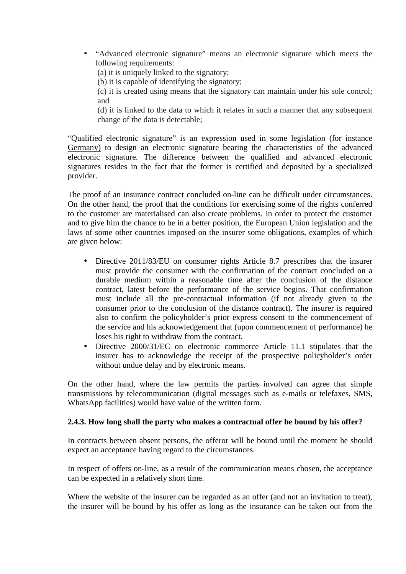• "Advanced electronic signature" means an electronic signature which meets the following requirements:

(a) it is uniquely linked to the signatory;

(b) it is capable of identifying the signatory;

(c) it is created using means that the signatory can maintain under his sole control; and

(d) it is linked to the data to which it relates in such a manner that any subsequent change of the data is detectable;

"Qualified electronic signature" is an expression used in some legislation (for instance Germany) to design an electronic signature bearing the characteristics of the advanced electronic signature. The difference between the qualified and advanced electronic signatures resides in the fact that the former is certified and deposited by a specialized provider.

The proof of an insurance contract concluded on-line can be difficult under circumstances. On the other hand, the proof that the conditions for exercising some of the rights conferred to the customer are materialised can also create problems. In order to protect the customer and to give him the chance to be in a better position, the European Union legislation and the laws of some other countries imposed on the insurer some obligations, examples of which are given below:

- Directive 2011/83/EU on consumer rights Article 8.7 prescribes that the insurer must provide the consumer with the confirmation of the contract concluded on a durable medium within a reasonable time after the conclusion of the distance contract, latest before the performance of the service begins. That confirmation must include all the pre-contractual information (if not already given to the consumer prior to the conclusion of the distance contract). The insurer is required also to confirm the policyholder's prior express consent to the commencement of the service and his acknowledgement that (upon commencement of performance) he loses his right to withdraw from the contract.
- Directive 2000/31/EC on electronic commerce Article 11.1 stipulates that the insurer has to acknowledge the receipt of the prospective policyholder's order without undue delay and by electronic means.

On the other hand, where the law permits the parties involved can agree that simple transmissions by telecommunication (digital messages such as e-mails or telefaxes, SMS, WhatsApp facilities) would have value of the written form.

## **2.4.3. How long shall the party who makes a contractual offer be bound by his offer?**

In contracts between absent persons, the offeror will be bound until the moment he should expect an acceptance having regard to the circumstances.

In respect of offers on-line, as a result of the communication means chosen, the acceptance can be expected in a relatively short time.

Where the website of the insurer can be regarded as an offer (and not an invitation to treat). the insurer will be bound by his offer as long as the insurance can be taken out from the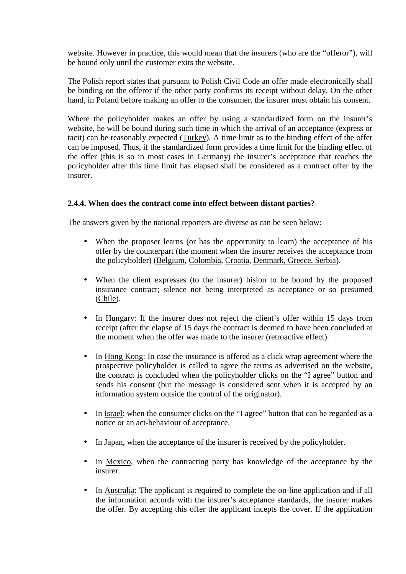website. However in practice, this would mean that the insurers (who are the "offeror"), will be bound only until the customer exits the website.

The Polish report states that pursuant to Polish Civil Code an offer made electronically shall be binding on the offeror if the other party confirms its receipt without delay. On the other hand, in Poland before making an offer to the consumer, the insurer must obtain his consent.

Where the policyholder makes an offer by using a standardized form on the insurer's website, he will be bound during such time in which the arrival of an acceptance (express or tacit) can be reasonably expected (Turkey). A time limit as to the binding effect of the offer can be imposed. Thus, if the standardized form provides a time limit for the binding effect of the offer (this is so in most cases in Germany) the insurer's acceptance that reaches the policyholder after this time limit has elapsed shall be considered as a contract offer by the insurer.

## **2.4.4. When does the contract come into effect between distant parties**?

The answers given by the national reporters are diverse as can be seen below:

- When the proposer learns (or has the opportunity to learn) the acceptance of his offer by the counterpart (the moment when the insurer receives the acceptance from the policyholder) (Belgium, Colombia, Croatia, Denmark, Greece, Serbia).
- When the client expresses (to the insurer) hision to be bound by the proposed insurance contract; silence not being interpreted as acceptance or so presumed (Chile).
- In Hungary: If the insurer does not reject the client's offer within 15 days from receipt (after the elapse of 15 days the contract is deemed to have been concluded at the moment when the offer was made to the insurer (retroactive effect).
- In Hong Kong: In case the insurance is offered as a click wrap agreement where the prospective policyholder is called to agree the terms as advertised on the website, the contract is concluded when the policyholder clicks on the "I agree" button and sends his consent (but the message is considered sent when it is accepted by an information system outside the control of the originator).
- In Israel: when the consumer clicks on the "I agree" button that can be regarded as a notice or an act-behaviour of acceptance.
- In Japan, when the acceptance of the insurer is received by the policyholder.
- In Mexico, when the contracting party has knowledge of the acceptance by the insurer.
- In Australia: The applicant is required to complete the on-line application and if all the information accords with the insurer's acceptance standards, the insurer makes the offer. By accepting this offer the applicant incepts the cover. If the application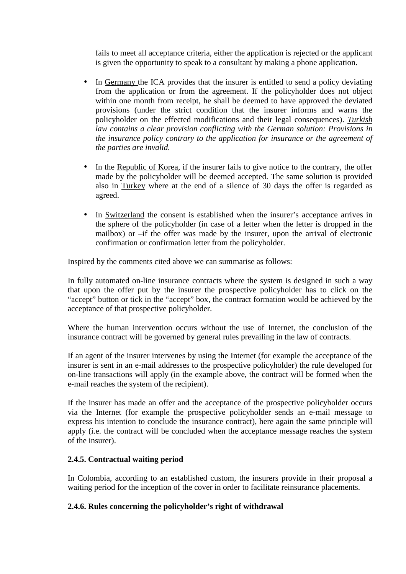fails to meet all acceptance criteria, either the application is rejected or the applicant is given the opportunity to speak to a consultant by making a phone application.

- In Germany the ICA provides that the insurer is entitled to send a policy deviating from the application or from the agreement. If the policyholder does not object within one month from receipt, he shall be deemed to have approved the deviated provisions (under the strict condition that the insurer informs and warns the policyholder on the effected modifications and their legal consequences). *Turkish law contains a clear provision conflicting with the German solution: Provisions in the insurance policy contrary to the application for insurance or the agreement of the parties are invalid.*
- In the Republic of Korea, if the insurer fails to give notice to the contrary, the offer made by the policyholder will be deemed accepted. The same solution is provided also in Turkey where at the end of a silence of 30 days the offer is regarded as agreed.
- In Switzerland the consent is established when the insurer's acceptance arrives in the sphere of the policyholder (in case of a letter when the letter is dropped in the mailbox) or –if the offer was made by the insurer, upon the arrival of electronic confirmation or confirmation letter from the policyholder.

Inspired by the comments cited above we can summarise as follows:

In fully automated on-line insurance contracts where the system is designed in such a way that upon the offer put by the insurer the prospective policyholder has to click on the "accept" button or tick in the "accept" box, the contract formation would be achieved by the acceptance of that prospective policyholder.

Where the human intervention occurs without the use of Internet, the conclusion of the insurance contract will be governed by general rules prevailing in the law of contracts.

If an agent of the insurer intervenes by using the Internet (for example the acceptance of the insurer is sent in an e-mail addresses to the prospective policyholder) the rule developed for on-line transactions will apply (in the example above, the contract will be formed when the e-mail reaches the system of the recipient).

If the insurer has made an offer and the acceptance of the prospective policyholder occurs via the Internet (for example the prospective policyholder sends an e-mail message to express his intention to conclude the insurance contract), here again the same principle will apply (i.e. the contract will be concluded when the acceptance message reaches the system of the insurer).

## **2.4.5. Contractual waiting period**

In Colombia, according to an established custom, the insurers provide in their proposal a waiting period for the inception of the cover in order to facilitate reinsurance placements.

## **2.4.6. Rules concerning the policyholder's right of withdrawal**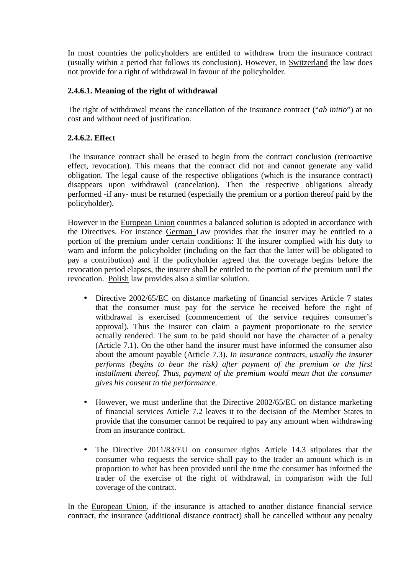In most countries the policyholders are entitled to withdraw from the insurance contract (usually within a period that follows its conclusion). However, in Switzerland the law does not provide for a right of withdrawal in favour of the policyholder.

## **2.4.6.1. Meaning of the right of withdrawal**

The right of withdrawal means the cancellation of the insurance contract ("*ab initio*") at no cost and without need of justification.

### **2.4.6.2. Effect**

The insurance contract shall be erased to begin from the contract conclusion (retroactive effect, revocation). This means that the contract did not and cannot generate any valid obligation. The legal cause of the respective obligations (which is the insurance contract) disappears upon withdrawal (cancelation). Then the respective obligations already performed -if any- must be returned (especially the premium or a portion thereof paid by the policyholder).

However in the European Union countries a balanced solution is adopted in accordance with the Directives. For instance German Law provides that the insurer may be entitled to a portion of the premium under certain conditions: If the insurer complied with his duty to warn and inform the policyholder (including on the fact that the latter will be obligated to pay a contribution) and if the policyholder agreed that the coverage begins before the revocation period elapses, the insurer shall be entitled to the portion of the premium until the revocation. Polish law provides also a similar solution.

- Directive 2002/65/EC on distance marketing of financial services Article 7 states that the consumer must pay for the service he received before the right of withdrawal is exercised (commencement of the service requires consumer's approval). Thus the insurer can claim a payment proportionate to the service actually rendered. The sum to be paid should not have the character of a penalty (Article 7.1). On the other hand the insurer must have informed the consumer also about the amount payable (Article 7.3). *In insurance contracts, usually the insurer performs (begins to bear the risk) after payment of the premium or the first installment thereof. Thus, payment of the premium would mean that the consumer gives his consent to the performance.*
- However, we must underline that the Directive 2002/65/EC on distance marketing of financial services Article 7.2 leaves it to the decision of the Member States to provide that the consumer cannot be required to pay any amount when withdrawing from an insurance contract.
- The Directive 2011/83/EU on consumer rights Article 14.3 stipulates that the consumer who requests the service shall pay to the trader an amount which is in proportion to what has been provided until the time the consumer has informed the trader of the exercise of the right of withdrawal, in comparison with the full coverage of the contract.

In the European Union, if the insurance is attached to another distance financial service contract, the insurance (additional distance contract) shall be cancelled without any penalty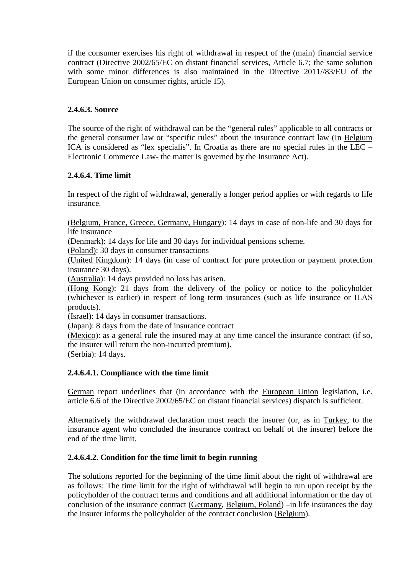if the consumer exercises his right of withdrawal in respect of the (main) financial service contract (Directive 2002/65/EC on distant financial services, Article 6.7; the same solution with some minor differences is also maintained in the Directive 2011//83/EU of the European Union on consumer rights, article 15).

### **2.4.6.3. Source**

The source of the right of withdrawal can be the "general rules" applicable to all contracts or the general consumer law or "specific rules" about the insurance contract law (In Belgium ICA is considered as "lex specialis". In Croatia as there are no special rules in the LEC – Electronic Commerce Law- the matter is governed by the Insurance Act).

## **2.4.6.4. Time limit**

In respect of the right of withdrawal, generally a longer period applies or with regards to life insurance.

(Belgium, France, Greece, Germany, Hungary): 14 days in case of non-life and 30 days for life insurance

(Denmark): 14 days for life and 30 days for individual pensions scheme.

(Poland): 30 days in consumer transactions

(United Kingdom): 14 days (in case of contract for pure protection or payment protection insurance 30 days).

(Australia): 14 days provided no loss has arisen.

(Hong Kong): 21 days from the delivery of the policy or notice to the policyholder (whichever is earlier) in respect of long term insurances (such as life insurance or ILAS products).

(Israel): 14 days in consumer transactions.

(Japan): 8 days from the date of insurance contract

(Mexico): as a general rule the insured may at any time cancel the insurance contract (if so, the insurer will return the non-incurred premium).

(Serbia): 14 days.

## **2.4.6.4.1. Compliance with the time limit**

German report underlines that (in accordance with the European Union legislation, i.e. article 6.6 of the Directive 2002/65/EC on distant financial services) dispatch is sufficient.

Alternatively the withdrawal declaration must reach the insurer (or, as in Turkey, to the insurance agent who concluded the insurance contract on behalf of the insurer) before the end of the time limit.

#### **2.4.6.4.2. Condition for the time limit to begin running**

The solutions reported for the beginning of the time limit about the right of withdrawal are as follows: The time limit for the right of withdrawal will begin to run upon receipt by the policyholder of the contract terms and conditions and all additional information or the day of conclusion of the insurance contract (Germany, Belgium, Poland) –in life insurances the day the insurer informs the policyholder of the contract conclusion (Belgium).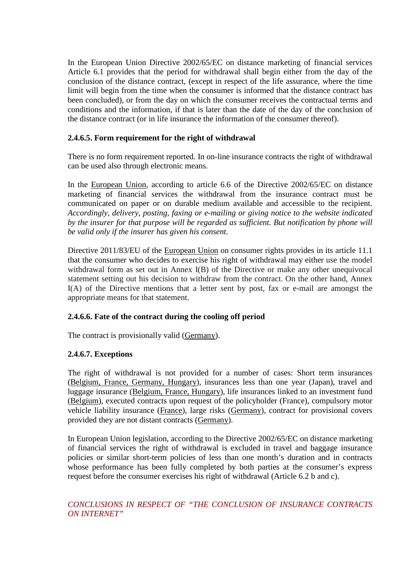In the European Union Directive 2002/65/EC on distance marketing of financial services Article 6.1 provides that the period for withdrawal shall begin either from the day of the conclusion of the distance contract, (except in respect of the life assurance, where the time limit will begin from the time when the consumer is informed that the distance contract has been concluded), or from the day on which the consumer receives the contractual terms and conditions and the information, if that is later than the date of the day of the conclusion of the distance contract (or in life insurance the information of the consumer thereof).

### **2.4.6.5. Form requirement for the right of withdrawal**

There is no form requirement reported. In on-line insurance contracts the right of withdrawal can be used also through electronic means.

In the European Union, according to article 6.6 of the Directive 2002/65/EC on distance marketing of financial services the withdrawal from the insurance contract must be communicated on paper or on durable medium available and accessible to the recipient. *Accordingly, delivery, posting, faxing or e-mailing or giving notice to the website indicated by the insurer for that purpose will be regarded as sufficient. But notification by phone will be valid only if the insurer has given his consent.*

Directive 2011/83/EU of the European Union on consumer rights provides in its article 11.1 that the consumer who decides to exercise his right of withdrawal may either use the model withdrawal form as set out in Annex I(B) of the Directive or make any other unequivocal statement setting out his decision to withdraw from the contract. On the other hand, Annex I(A) of the Directive mentions that a letter sent by post, fax or e-mail are amongst the appropriate means for that statement.

#### **2.4.6.6. Fate of the contract during the cooling off period**

The contract is provisionally valid (Germany).

## **2.4.6.7. Exceptions**

The right of withdrawal is not provided for a number of cases: Short term insurances (Belgium, France, Germany, Hungary), insurances less than one year (Japan), travel and luggage insurance (Belgium, France, Hungary), life insurances linked to an investment fund (Belgium), executed contracts upon request of the policyholder (France), compulsory motor vehicle liability insurance (France), large risks (Germany), contract for provisional covers provided they are not distant contracts (Germany).

In European Union legislation, according to the Directive 2002/65/EC on distance marketing of financial services the right of withdrawal is excluded in travel and baggage insurance policies or similar short-term policies of less than one month's duration and in contracts whose performance has been fully completed by both parties at the consumer's express request before the consumer exercises his right of withdrawal (Article 6.2 b and c).

*CONCLUSIONS IN RESPECT OF "THE CONCLUSION OF INSURANCE CONTRACTS ON INTERNET"*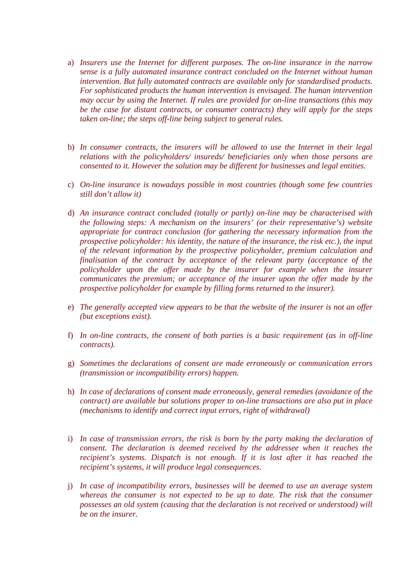- a) *Insurers use the Internet for different purposes. The on-line insurance in the narrow sense is a fully automated insurance contract concluded on the Internet without human intervention. But fully automated contracts are available only for standardised products. For sophisticated products the human intervention is envisaged. The human intervention may occur by using the Internet. If rules are provided for on-line transactions (this may be the case for distant contracts, or consumer contracts) they will apply for the steps taken on-line; the steps off-line being subject to general rules.*
- b) *In consumer contracts, the insurers will be allowed to use the Internet in their legal relations with the policyholders/ insureds/ beneficiaries only when those persons are consented to it. However the solution may be different for businesses and legal entities.*
- c) *On-line insurance is nowadays possible in most countries (though some few countries still don't allow it)*
- d) *An insurance contract concluded (totally or partly) on-line may be characterised with the following steps: A mechanism on the insurers' (or their representative's) website appropriate for contract conclusion (for gathering the necessary information from the prospective policyholder: his identity, the nature of the insurance, the risk etc.), the input of the relevant information by the prospective policyholder, premium calculation and finalisation of the contract by acceptance of the relevant party (acceptance of the policyholder upon the offer made by the insurer for example when the insurer communicates the premium; or acceptance of the insurer upon the offer made by the prospective policyholder for example by filling forms returned to the insurer).*
- e) *The generally accepted view appears to be that the website of the insurer is not an offer (but exceptions exist).*
- f) *In on-line contracts, the consent of both parties is a basic requirement (as in off-line contracts).*
- g) *Sometimes the declarations of consent are made erroneously or communication errors (transmission or incompatibility errors) happen.*
- h) *In case of declarations of consent made erroneously, general remedies (avoidance of the contract) are available but solutions proper to on-line transactions are also put in place (mechanisms to identify and correct input errors, right of withdrawal)*
- i) *In case of transmission errors, the risk is born by the party making the declaration of consent. The declaration is deemed received by the addressee when it reaches the recipient's systems. Dispatch is not enough. If it is lost after it has reached the recipient's systems, it will produce legal consequences.*
- j) *In case of incompatibility errors, businesses will be deemed to use an average system whereas the consumer is not expected to be up to date. The risk that the consumer possesses an old system (causing that the declaration is not received or understood) will be on the insurer.*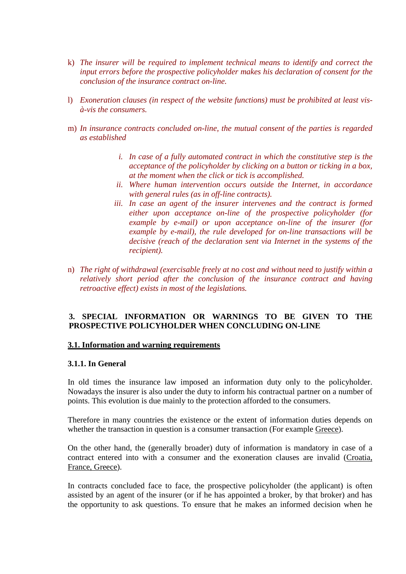- k) *The insurer will be required to implement technical means to identify and correct the input errors before the prospective policyholder makes his declaration of consent for the conclusion of the insurance contract on-line.*
- l) *Exoneration clauses (in respect of the website functions) must be prohibited at least visà-vis the consumers.*
- m) *In insurance contracts concluded on-line, the mutual consent of the parties is regarded as established* 
	- *i. In case of a fully automated contract in which the constitutive step is the acceptance of the policyholder by clicking on a button or ticking in a box, at the moment when the click or tick is accomplished.*
	- *ii. Where human intervention occurs outside the Internet, in accordance with general rules (as in off-line contracts).*
	- *iii. In case an agent of the insurer intervenes and the contract is formed either upon acceptance on-line of the prospective policyholder (for example by e-mail) or upon acceptance on-line of the insurer (for example by e-mail), the rule developed for on-line transactions will be decisive (reach of the declaration sent via Internet in the systems of the recipient).*
- n) *The right of withdrawal (exercisable freely at no cost and without need to justify within a relatively short period after the conclusion of the insurance contract and having retroactive effect) exists in most of the legislations.*

### **3. SPECIAL INFORMATION OR WARNINGS TO BE GIVEN TO THE PROSPECTIVE POLICYHOLDER WHEN CONCLUDING ON-LINE**

#### **3.1. Information and warning requirements**

#### **3.1.1. In General**

In old times the insurance law imposed an information duty only to the policyholder. Nowadays the insurer is also under the duty to inform his contractual partner on a number of points. This evolution is due mainly to the protection afforded to the consumers.

Therefore in many countries the existence or the extent of information duties depends on whether the transaction in question is a consumer transaction (For example Greece).

On the other hand, the (generally broader) duty of information is mandatory in case of a contract entered into with a consumer and the exoneration clauses are invalid (Croatia, France, Greece).

In contracts concluded face to face, the prospective policyholder (the applicant) is often assisted by an agent of the insurer (or if he has appointed a broker, by that broker) and has the opportunity to ask questions. To ensure that he makes an informed decision when he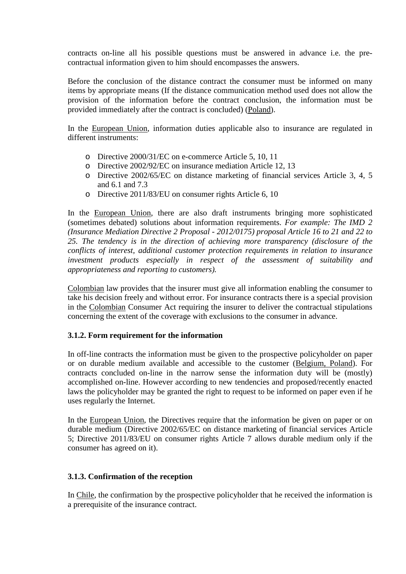contracts on-line all his possible questions must be answered in advance i.e. the precontractual information given to him should encompasses the answers.

Before the conclusion of the distance contract the consumer must be informed on many items by appropriate means (If the distance communication method used does not allow the provision of the information before the contract conclusion, the information must be provided immediately after the contract is concluded) (Poland).

In the European Union, information duties applicable also to insurance are regulated in different instruments:

- o Directive 2000/31/EC on e-commerce Article 5, 10, 11
- o Directive 2002/92/EC on insurance mediation Article 12, 13
- o Directive 2002/65/EC on distance marketing of financial services Article 3, 4, 5 and 6.1 and 7.3
- o Directive 2011/83/EU on consumer rights Article 6, 10

In the European Union, there are also draft instruments bringing more sophisticated (sometimes debated) solutions about information requirements. *For example: The IMD 2 (Insurance Mediation Directive 2 Proposal - 2012/0175) proposal Article 16 to 21 and 22 to 25. The tendency is in the direction of achieving more transparency (disclosure of the conflicts of interest, additional customer protection requirements in relation to insurance investment products especially in respect of the assessment of suitability and appropriateness and reporting to customers).* 

Colombian law provides that the insurer must give all information enabling the consumer to take his decision freely and without error. For insurance contracts there is a special provision in the Colombian Consumer Act requiring the insurer to deliver the contractual stipulations concerning the extent of the coverage with exclusions to the consumer in advance.

#### **3.1.2. Form requirement for the information**

In off-line contracts the information must be given to the prospective policyholder on paper or on durable medium available and accessible to the customer (Belgium, Poland). For contracts concluded on-line in the narrow sense the information duty will be (mostly) accomplished on-line. However according to new tendencies and proposed/recently enacted laws the policyholder may be granted the right to request to be informed on paper even if he uses regularly the Internet.

In the European Union, the Directives require that the information be given on paper or on durable medium (Directive 2002/65/EC on distance marketing of financial services Article 5; Directive 2011/83/EU on consumer rights Article 7 allows durable medium only if the consumer has agreed on it).

## **3.1.3. Confirmation of the reception**

In Chile, the confirmation by the prospective policyholder that he received the information is a prerequisite of the insurance contract.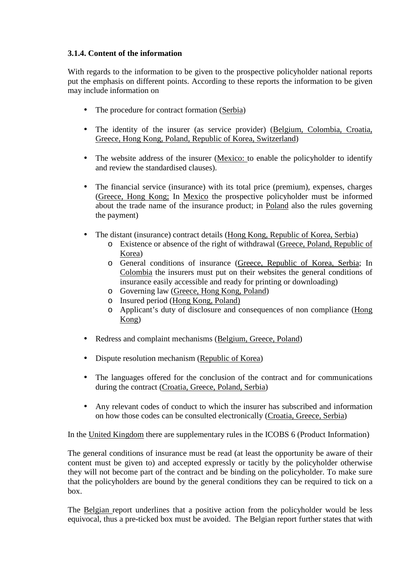# **3.1.4. Content of the information**

With regards to the information to be given to the prospective policyholder national reports put the emphasis on different points. According to these reports the information to be given may include information on

- The procedure for contract formation (Serbia)
- The identity of the insurer (as service provider) (Belgium, Colombia, Croatia, Greece, Hong Kong, Poland, Republic of Korea, Switzerland)
- The website address of the insurer (Mexico: to enable the policyholder to identify and review the standardised clauses).
- The financial service (insurance) with its total price (premium), expenses, charges (Greece, Hong Kong; In Mexico the prospective policyholder must be informed about the trade name of the insurance product; in Poland also the rules governing the payment)
- The distant (insurance) contract details (Hong Kong, Republic of Korea, Serbia)
	- o Existence or absence of the right of withdrawal (Greece, Poland, Republic of Korea)
	- o General conditions of insurance (Greece, Republic of Korea, Serbia; In Colombia the insurers must put on their websites the general conditions of insurance easily accessible and ready for printing or downloading)
	- o Governing law (Greece, Hong Kong, Poland)
	- o Insured period (Hong Kong, Poland)
	- o Applicant's duty of disclosure and consequences of non compliance (Hong Kong)
- Redress and complaint mechanisms (Belgium, Greece, Poland)
- Dispute resolution mechanism (Republic of Korea)
- The languages offered for the conclusion of the contract and for communications during the contract (Croatia, Greece, Poland, Serbia)
- Any relevant codes of conduct to which the insurer has subscribed and information on how those codes can be consulted electronically (Croatia, Greece, Serbia)

In the United Kingdom there are supplementary rules in the ICOBS 6 (Product Information)

The general conditions of insurance must be read (at least the opportunity be aware of their content must be given to) and accepted expressly or tacitly by the policyholder otherwise they will not become part of the contract and be binding on the policyholder. To make sure that the policyholders are bound by the general conditions they can be required to tick on a box.

The Belgian report underlines that a positive action from the policyholder would be less equivocal, thus a pre-ticked box must be avoided. The Belgian report further states that with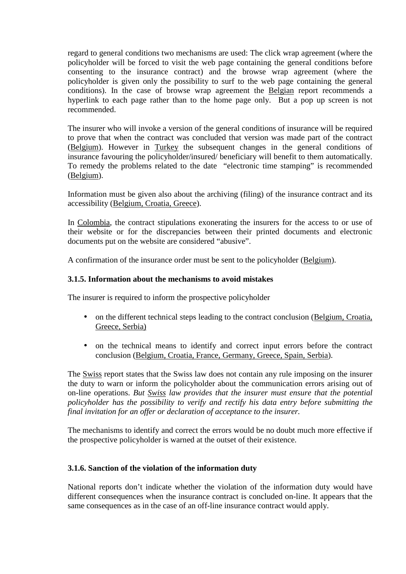regard to general conditions two mechanisms are used: The click wrap agreement (where the policyholder will be forced to visit the web page containing the general conditions before consenting to the insurance contract) and the browse wrap agreement (where the policyholder is given only the possibility to surf to the web page containing the general conditions). In the case of browse wrap agreement the Belgian report recommends a hyperlink to each page rather than to the home page only. But a pop up screen is not recommended.

The insurer who will invoke a version of the general conditions of insurance will be required to prove that when the contract was concluded that version was made part of the contract (Belgium). However in Turkey the subsequent changes in the general conditions of insurance favouring the policyholder/insured/ beneficiary will benefit to them automatically. To remedy the problems related to the date "electronic time stamping" is recommended (Belgium).

Information must be given also about the archiving (filing) of the insurance contract and its accessibility (Belgium, Croatia, Greece).

In Colombia, the contract stipulations exonerating the insurers for the access to or use of their website or for the discrepancies between their printed documents and electronic documents put on the website are considered "abusive".

A confirmation of the insurance order must be sent to the policyholder (Belgium).

## **3.1.5. Information about the mechanisms to avoid mistakes**

The insurer is required to inform the prospective policyholder

- on the different technical steps leading to the contract conclusion (Belgium, Croatia, Greece, Serbia)
- on the technical means to identify and correct input errors before the contract conclusion (Belgium, Croatia, France, Germany, Greece, Spain, Serbia).

The Swiss report states that the Swiss law does not contain any rule imposing on the insurer the duty to warn or inform the policyholder about the communication errors arising out of on-line operations. *But Swiss law provides that the insurer must ensure that the potential policyholder has the possibility to verify and rectify his data entry before submitting the final invitation for an offer or declaration of acceptance to the insurer.* 

The mechanisms to identify and correct the errors would be no doubt much more effective if the prospective policyholder is warned at the outset of their existence.

## **3.1.6. Sanction of the violation of the information duty**

National reports don't indicate whether the violation of the information duty would have different consequences when the insurance contract is concluded on-line. It appears that the same consequences as in the case of an off-line insurance contract would apply.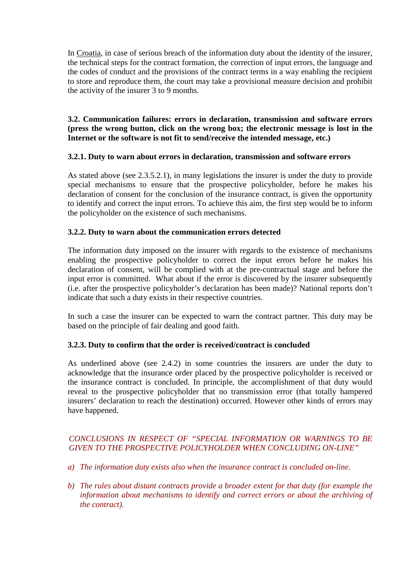In Croatia, in case of serious breach of the information duty about the identity of the insurer, the technical steps for the contract formation, the correction of input errors, the language and the codes of conduct and the provisions of the contract terms in a way enabling the recipient to store and reproduce them, the court may take a provisional measure decision and prohibit the activity of the insurer 3 to 9 months.

## **3.2. Communication failures: errors in declaration, transmission and software errors (press the wrong button, click on the wrong box; the electronic message is lost in the Internet or the software is not fit to send/receive the intended message, etc.)**

### **3.2.1. Duty to warn about errors in declaration, transmission and software errors**

As stated above (see 2.3.5.2.1), in many legislations the insurer is under the duty to provide special mechanisms to ensure that the prospective policyholder, before he makes his declaration of consent for the conclusion of the insurance contract, is given the opportunity to identify and correct the input errors. To achieve this aim, the first step would be to inform the policyholder on the existence of such mechanisms.

### **3.2.2. Duty to warn about the communication errors detected**

The information duty imposed on the insurer with regards to the existence of mechanisms enabling the prospective policyholder to correct the input errors before he makes his declaration of consent, will be complied with at the pre-contractual stage and before the input error is committed. What about if the error is discovered by the insurer subsequently (i.e. after the prospective policyholder's declaration has been made)? National reports don't indicate that such a duty exists in their respective countries.

In such a case the insurer can be expected to warn the contract partner. This duty may be based on the principle of fair dealing and good faith.

## **3.2.3. Duty to confirm that the order is received/contract is concluded**

As underlined above (see 2.4.2) in some countries the insurers are under the duty to acknowledge that the insurance order placed by the prospective policyholder is received or the insurance contract is concluded. In principle, the accomplishment of that duty would reveal to the prospective policyholder that no transmission error (that totally hampered insurers' declaration to reach the destination) occurred. However other kinds of errors may have happened.

# *CONCLUSIONS IN RESPECT OF "SPECIAL INFORMATION OR WARNINGS TO BE GIVEN TO THE PROSPECTIVE POLICYHOLDER WHEN CONCLUDING ON-LINE"*

- *a) The information duty exists also when the insurance contract is concluded on-line.*
- *b) The rules about distant contracts provide a broader extent for that duty (for example the information about mechanisms to identify and correct errors or about the archiving of the contract).*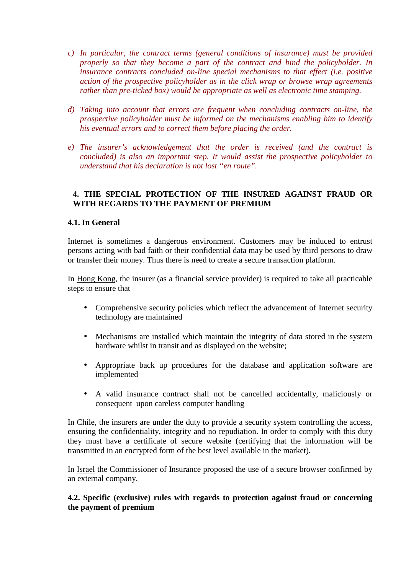- *c) In particular, the contract terms (general conditions of insurance) must be provided properly so that they become a part of the contract and bind the policyholder. In insurance contracts concluded on-line special mechanisms to that effect (i.e. positive action of the prospective policyholder as in the click wrap or browse wrap agreements rather than pre-ticked box) would be appropriate as well as electronic time stamping.*
- *d) Taking into account that errors are frequent when concluding contracts on-line, the prospective policyholder must be informed on the mechanisms enabling him to identify his eventual errors and to correct them before placing the order.*
- *e) The insurer's acknowledgement that the order is received (and the contract is concluded) is also an important step. It would assist the prospective policyholder to understand that his declaration is not lost "en route".*

### **4. THE SPECIAL PROTECTION OF THE INSURED AGAINST FRAUD OR WITH REGARDS TO THE PAYMENT OF PREMIUM**

### **4.1. In General**

Internet is sometimes a dangerous environment. Customers may be induced to entrust persons acting with bad faith or their confidential data may be used by third persons to draw or transfer their money. Thus there is need to create a secure transaction platform.

In Hong Kong, the insurer (as a financial service provider) is required to take all practicable steps to ensure that

- Comprehensive security policies which reflect the advancement of Internet security technology are maintained
- Mechanisms are installed which maintain the integrity of data stored in the system hardware whilst in transit and as displayed on the website;
- Appropriate back up procedures for the database and application software are implemented
- A valid insurance contract shall not be cancelled accidentally, maliciously or consequent upon careless computer handling

In Chile, the insurers are under the duty to provide a security system controlling the access, ensuring the confidentiality, integrity and no repudiation. In order to comply with this duty they must have a certificate of secure website (certifying that the information will be transmitted in an encrypted form of the best level available in the market).

In Israel the Commissioner of Insurance proposed the use of a secure browser confirmed by an external company.

**4.2. Specific (exclusive) rules with regards to protection against fraud or concerning the payment of premium**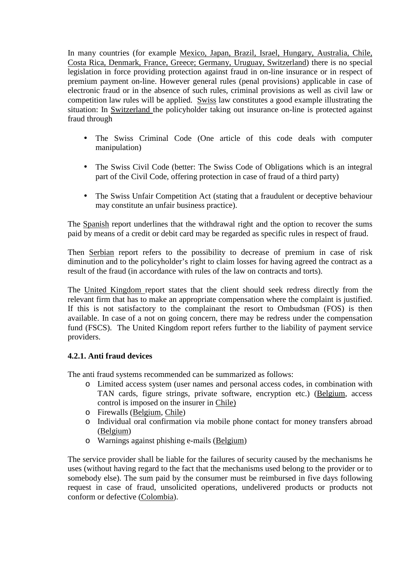In many countries (for example Mexico, Japan, Brazil, Israel, Hungary, Australia, Chile, Costa Rica, Denmark, France, Greece; Germany, Uruguay, Switzerland) there is no special legislation in force providing protection against fraud in on-line insurance or in respect of premium payment on-line. However general rules (penal provisions) applicable in case of electronic fraud or in the absence of such rules, criminal provisions as well as civil law or competition law rules will be applied. Swiss law constitutes a good example illustrating the situation: In Switzerland the policyholder taking out insurance on-line is protected against fraud through

- The Swiss Criminal Code (One article of this code deals with computer manipulation)
- The Swiss Civil Code (better: The Swiss Code of Obligations which is an integral part of the Civil Code, offering protection in case of fraud of a third party)
- The Swiss Unfair Competition Act (stating that a fraudulent or deceptive behaviour may constitute an unfair business practice).

The Spanish report underlines that the withdrawal right and the option to recover the sums paid by means of a credit or debit card may be regarded as specific rules in respect of fraud.

Then Serbian report refers to the possibility to decrease of premium in case of risk diminution and to the policyholder's right to claim losses for having agreed the contract as a result of the fraud (in accordance with rules of the law on contracts and torts).

The United Kingdom report states that the client should seek redress directly from the relevant firm that has to make an appropriate compensation where the complaint is justified. If this is not satisfactory to the complainant the resort to Ombudsman (FOS) is then available. In case of a not on going concern, there may be redress under the compensation fund (FSCS). The United Kingdom report refers further to the liability of payment service providers.

## **4.2.1. Anti fraud devices**

The anti fraud systems recommended can be summarized as follows:

- o Limited access system (user names and personal access codes, in combination with TAN cards, figure strings, private software, encryption etc.) (Belgium, access control is imposed on the insurer in Chile)
- o Firewalls (Belgium, Chile)
- o Individual oral confirmation via mobile phone contact for money transfers abroad (Belgium)
- o Warnings against phishing e-mails (Belgium)

The service provider shall be liable for the failures of security caused by the mechanisms he uses (without having regard to the fact that the mechanisms used belong to the provider or to somebody else). The sum paid by the consumer must be reimbursed in five days following request in case of fraud, unsolicited operations, undelivered products or products not conform or defective (Colombia).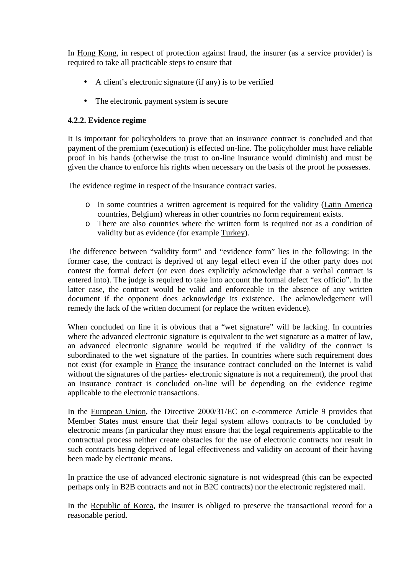In Hong Kong, in respect of protection against fraud, the insurer (as a service provider) is required to take all practicable steps to ensure that

- A client's electronic signature (if any) is to be verified
- The electronic payment system is secure

### **4.2.2. Evidence regime**

It is important for policyholders to prove that an insurance contract is concluded and that payment of the premium (execution) is effected on-line. The policyholder must have reliable proof in his hands (otherwise the trust to on-line insurance would diminish) and must be given the chance to enforce his rights when necessary on the basis of the proof he possesses.

The evidence regime in respect of the insurance contract varies.

- o In some countries a written agreement is required for the validity (Latin America countries, Belgium) whereas in other countries no form requirement exists.
- o There are also countries where the written form is required not as a condition of validity but as evidence (for example Turkey).

The difference between "validity form" and "evidence form" lies in the following: In the former case, the contract is deprived of any legal effect even if the other party does not contest the formal defect (or even does explicitly acknowledge that a verbal contract is entered into). The judge is required to take into account the formal defect "ex officio". In the latter case, the contract would be valid and enforceable in the absence of any written document if the opponent does acknowledge its existence. The acknowledgement will remedy the lack of the written document (or replace the written evidence).

When concluded on line it is obvious that a "wet signature" will be lacking. In countries where the advanced electronic signature is equivalent to the wet signature as a matter of law, an advanced electronic signature would be required if the validity of the contract is subordinated to the wet signature of the parties. In countries where such requirement does not exist (for example in France the insurance contract concluded on the Internet is valid without the signatures of the parties- electronic signature is not a requirement), the proof that an insurance contract is concluded on-line will be depending on the evidence regime applicable to the electronic transactions.

In the European Union, the Directive 2000/31/EC on e-commerce Article 9 provides that Member States must ensure that their legal system allows contracts to be concluded by electronic means (in particular they must ensure that the legal requirements applicable to the contractual process neither create obstacles for the use of electronic contracts nor result in such contracts being deprived of legal effectiveness and validity on account of their having been made by electronic means.

In practice the use of advanced electronic signature is not widespread (this can be expected perhaps only in B2B contracts and not in B2C contracts) nor the electronic registered mail.

In the Republic of Korea, the insurer is obliged to preserve the transactional record for a reasonable period.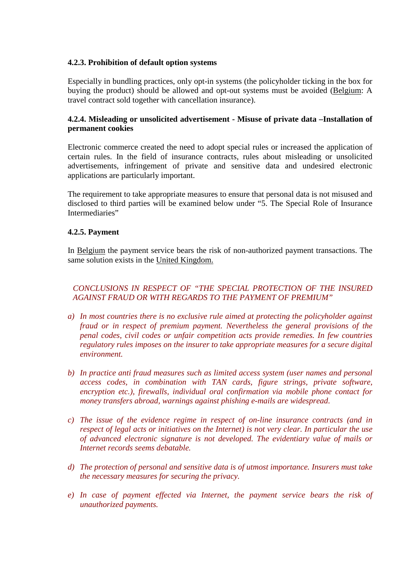### **4.2.3. Prohibition of default option systems**

Especially in bundling practices, only opt-in systems (the policyholder ticking in the box for buying the product) should be allowed and opt-out systems must be avoided (Belgium: A travel contract sold together with cancellation insurance).

## **4.2.4. Misleading or unsolicited advertisement - Misuse of private data –Installation of permanent cookies**

Electronic commerce created the need to adopt special rules or increased the application of certain rules. In the field of insurance contracts, rules about misleading or unsolicited advertisements, infringement of private and sensitive data and undesired electronic applications are particularly important.

The requirement to take appropriate measures to ensure that personal data is not misused and disclosed to third parties will be examined below under "5. The Special Role of Insurance Intermediaries"

### **4.2.5. Payment**

In Belgium the payment service bears the risk of non-authorized payment transactions. The same solution exists in the United Kingdom.

# *CONCLUSIONS IN RESPECT OF "THE SPECIAL PROTECTION OF THE INSURED AGAINST FRAUD OR WITH REGARDS TO THE PAYMENT OF PREMIUM"*

- *a) In most countries there is no exclusive rule aimed at protecting the policyholder against fraud or in respect of premium payment. Nevertheless the general provisions of the penal codes, civil codes or unfair competition acts provide remedies. In few countries regulatory rules imposes on the insurer to take appropriate measures for a secure digital environment.*
- *b) In practice anti fraud measures such as limited access system (user names and personal access codes, in combination with TAN cards, figure strings, private software, encryption etc.), firewalls, individual oral confirmation via mobile phone contact for money transfers abroad, warnings against phishing e-mails are widespread.*
- *c) The issue of the evidence regime in respect of on-line insurance contracts (and in respect of legal acts or initiatives on the Internet) is not very clear. In particular the use of advanced electronic signature is not developed. The evidentiary value of mails or Internet records seems debatable.*
- *d) The protection of personal and sensitive data is of utmost importance. Insurers must take the necessary measures for securing the privacy.*
- *e) In case of payment effected via Internet, the payment service bears the risk of unauthorized payments.*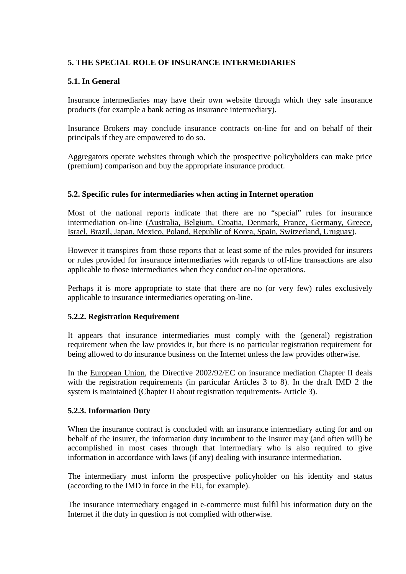## **5. THE SPECIAL ROLE OF INSURANCE INTERMEDIARIES**

# **5.1. In General**

Insurance intermediaries may have their own website through which they sale insurance products (for example a bank acting as insurance intermediary).

Insurance Brokers may conclude insurance contracts on-line for and on behalf of their principals if they are empowered to do so.

Aggregators operate websites through which the prospective policyholders can make price (premium) comparison and buy the appropriate insurance product.

## **5.2. Specific rules for intermediaries when acting in Internet operation**

Most of the national reports indicate that there are no "special" rules for insurance intermediation on-line (Australia, Belgium, Croatia, Denmark, France, Germany, Greece, Israel, Brazil, Japan, Mexico, Poland, Republic of Korea, Spain, Switzerland, Uruguay).

However it transpires from those reports that at least some of the rules provided for insurers or rules provided for insurance intermediaries with regards to off-line transactions are also applicable to those intermediaries when they conduct on-line operations.

Perhaps it is more appropriate to state that there are no (or very few) rules exclusively applicable to insurance intermediaries operating on-line.

## **5.2.2. Registration Requirement**

It appears that insurance intermediaries must comply with the (general) registration requirement when the law provides it, but there is no particular registration requirement for being allowed to do insurance business on the Internet unless the law provides otherwise.

In the European Union, the Directive 2002/92/EC on insurance mediation Chapter II deals with the registration requirements (in particular Articles 3 to 8). In the draft IMD 2 the system is maintained (Chapter II about registration requirements- Article 3).

## **5.2.3. Information Duty**

When the insurance contract is concluded with an insurance intermediary acting for and on behalf of the insurer, the information duty incumbent to the insurer may (and often will) be accomplished in most cases through that intermediary who is also required to give information in accordance with laws (if any) dealing with insurance intermediation.

The intermediary must inform the prospective policyholder on his identity and status (according to the IMD in force in the EU, for example).

The insurance intermediary engaged in e-commerce must fulfil his information duty on the Internet if the duty in question is not complied with otherwise.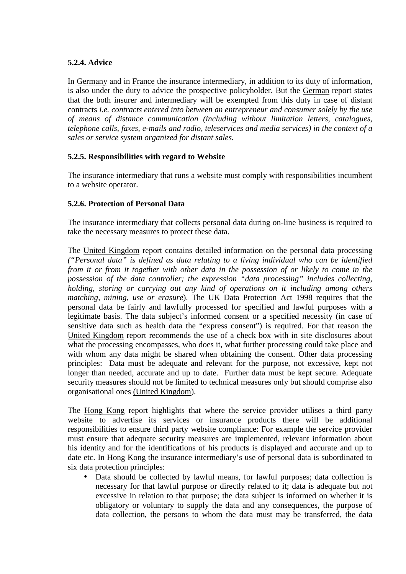## **5.2.4. Advice**

In Germany and in France the insurance intermediary, in addition to its duty of information, is also under the duty to advice the prospective policyholder. But the German report states that the both insurer and intermediary will be exempted from this duty in case of distant contracts *i.e. contracts entered into between an entrepreneur and consumer solely by the use of means of distance communication (including without limitation letters, catalogues, telephone calls, faxes, e-mails and radio, teleservices and media services) in the context of a sales or service system organized for distant sales.* 

## **5.2.5. Responsibilities with regard to Website**

The insurance intermediary that runs a website must comply with responsibilities incumbent to a website operator.

### **5.2.6. Protection of Personal Data**

The insurance intermediary that collects personal data during on-line business is required to take the necessary measures to protect these data.

The United Kingdom report contains detailed information on the personal data processing *("Personal data" is defined as data relating to a living individual who can be identified from it or from it together with other data in the possession of or likely to come in the possession of the data controller; the expression "data processing" includes collecting, holding, storing or carrying out any kind of operations on it including among others matching, mining, use or erasure*). The UK Data Protection Act 1998 requires that the personal data be fairly and lawfully processed for specified and lawful purposes with a legitimate basis. The data subject's informed consent or a specified necessity (in case of sensitive data such as health data the "express consent") is required. For that reason the United Kingdom report recommends the use of a check box with in site disclosures about what the processing encompasses, who does it, what further processing could take place and with whom any data might be shared when obtaining the consent. Other data processing principles: Data must be adequate and relevant for the purpose, not excessive, kept not longer than needed, accurate and up to date. Further data must be kept secure. Adequate security measures should not be limited to technical measures only but should comprise also organisational ones (United Kingdom).

The Hong Kong report highlights that where the service provider utilises a third party website to advertise its services or insurance products there will be additional responsibilities to ensure third party website compliance: For example the service provider must ensure that adequate security measures are implemented, relevant information about his identity and for the identifications of his products is displayed and accurate and up to date etc. In Hong Kong the insurance intermediary's use of personal data is subordinated to six data protection principles:

• Data should be collected by lawful means, for lawful purposes; data collection is necessary for that lawful purpose or directly related to it; data is adequate but not excessive in relation to that purpose; the data subject is informed on whether it is obligatory or voluntary to supply the data and any consequences, the purpose of data collection, the persons to whom the data must may be transferred, the data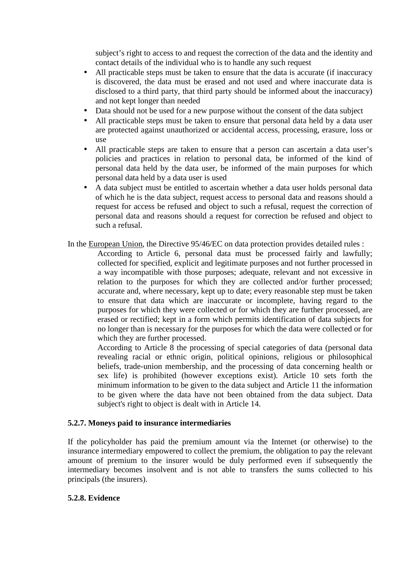subject's right to access to and request the correction of the data and the identity and contact details of the individual who is to handle any such request

- All practicable steps must be taken to ensure that the data is accurate (if inaccuracy is discovered, the data must be erased and not used and where inaccurate data is disclosed to a third party, that third party should be informed about the inaccuracy) and not kept longer than needed
- Data should not be used for a new purpose without the consent of the data subject
- All practicable steps must be taken to ensure that personal data held by a data user are protected against unauthorized or accidental access, processing, erasure, loss or use
- All practicable steps are taken to ensure that a person can ascertain a data user's policies and practices in relation to personal data, be informed of the kind of personal data held by the data user, be informed of the main purposes for which personal data held by a data user is used
- A data subiect must be entitled to ascertain whether a data user holds personal data of which he is the data subject, request access to personal data and reasons should a request for access be refused and object to such a refusal, request the correction of personal data and reasons should a request for correction be refused and object to such a refusal.
- In the European Union, the Directive 95/46/EC on data protection provides detailed rules :

According to Article 6, personal data must be processed fairly and lawfully; collected for specified, explicit and legitimate purposes and not further processed in a way incompatible with those purposes; adequate, relevant and not excessive in relation to the purposes for which they are collected and/or further processed; accurate and, where necessary, kept up to date; every reasonable step must be taken to ensure that data which are inaccurate or incomplete, having regard to the purposes for which they were collected or for which they are further processed, are erased or rectified; kept in a form which permits identification of data subjects for no longer than is necessary for the purposes for which the data were collected or for which they are further processed.

According to Article 8 the processing of special categories of data (personal data revealing racial or ethnic origin, political opinions, religious or philosophical beliefs, trade-union membership, and the processing of data concerning health or sex life) is prohibited (however exceptions exist). Article 10 sets forth the minimum information to be given to the data subject and Article 11 the information to be given where the data have not been obtained from the data subject. Data subject's right to object is dealt with in Article 14.

## **5.2.7. Moneys paid to insurance intermediaries**

If the policyholder has paid the premium amount via the Internet (or otherwise) to the insurance intermediary empowered to collect the premium, the obligation to pay the relevant amount of premium to the insurer would be duly performed even if subsequently the intermediary becomes insolvent and is not able to transfers the sums collected to his principals (the insurers).

#### **5.2.8. Evidence**